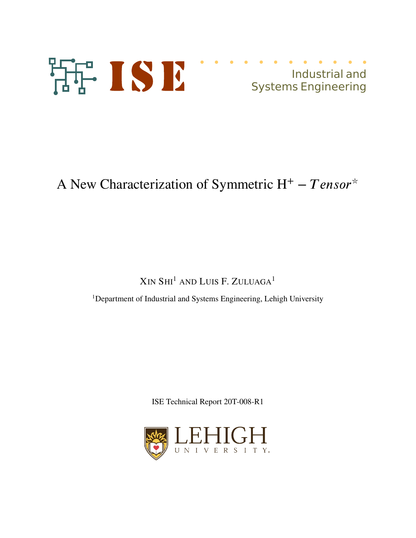

# Industrial and Systems Engineering

# A New Characterization of Symmetric H<sup>+</sup> − *Tensor*<sup>\*</sup>

XIN SHI<sup>1</sup> AND LUIS F. ZULUAGA<sup>1</sup>

<sup>1</sup>Department of Industrial and Systems Engineering, Lehigh University

ISE Technical Report 20T-008-R1

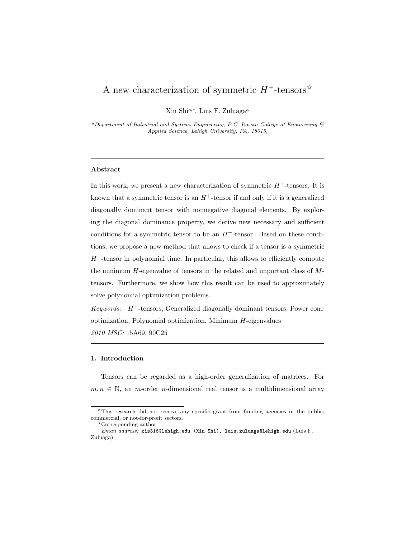# A new characterization of symmetric  $H^+$ -tensors<sup>☆</sup>

Xin Shi<sup>a,∗</sup>, Luis F. Zuluaga<sup>a</sup>

 ${}^a$ Department of Industrial and Systems Engineering, P.C. Rossin College of Engineering  $\mathcal C$ Applied Science, Lehigh University, PA, 18015,

### Abstract

In this work, we present a new characterization of symmetric  $H^+$ -tensors. It is known that a symmetric tensor is an  $H^+$ -tensor if and only if it is a generalized diagonally dominant tensor with nonnegative diagonal elements. By exploring the diagonal dominance property, we derive new necessary and sufficient conditions for a symmetric tensor to be an  $H^+$ -tensor. Based on these conditions, we propose a new method that allows to check if a tensor is a symmetric  $H^+$ -tensor in polynomial time. In particular, this allows to efficiently compute the minimum  $H$ -eigenvalue of tensors in the related and important class of  $M$ tensors. Furthermore, we show how this result can be used to approximately solve polynomial optimization problems.

Keywords:  $H^+$ -tensors, Generalized diagonally dominant tensors, Power cone optimization, Polynomial optimization, Minimum H-eigenvalues 2010 MSC: 15A69, 90C25

#### 1. Introduction

Tensors can be regarded as a high-order generalization of matrices. For  $m, n \in \mathbb{N}$ , an *m*-order *n*-dimensional real tensor is a multidimensional array

 $\overrightarrow{r}$ This research did not receive any specific grant from funding agencies in the public, commercial, or not-for-profit sectors.

<sup>∗</sup>Corresponding author

Email address: xis316@lehigh.edu (Xin Shi), luis.zuluaga@lehigh.edu (Luis F. Zuluaga)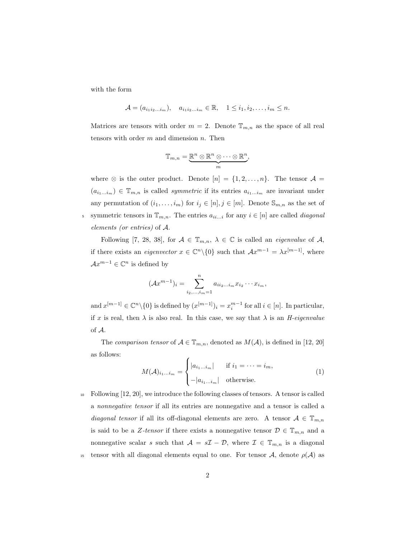with the form

$$
\mathcal{A} = (a_{i_1 i_2 \dots i_m}), \quad a_{i_1 i_2 \dots i_m} \in \mathbb{R}, \quad 1 \leq i_1, i_2, \dots, i_m \leq n.
$$

Matrices are tensors with order  $m = 2$ . Denote  $\mathbb{T}_{m,n}$  as the space of all real tensors with order  $m$  and dimension  $n$ . Then

$$
\mathbb{T}_{m,n}=\underbrace{\mathbb{R}^n\otimes\mathbb{R}^n\otimes\cdots\otimes\mathbb{R}^n}_{m},
$$

where  $\otimes$  is the outer product. Denote  $[n] = \{1, 2, ..., n\}$ . The tensor  $\mathcal{A} =$  $(a_{i_1...i_m}) \in \mathbb{T}_{m,n}$  is called *symmetric* if its entries  $a_{i_1...i_m}$  are invariant under any permutation of  $(i_1, \ldots, i_m)$  for  $i_j \in [n], j \in [m]$ . Denote  $\mathbb{S}_{m,n}$  as the set of 5 symmetric tensors in  $\mathbb{T}_{m,n}$ . The entries  $a_{ii...i}$  for any  $i \in [n]$  are called *diagonal* elements (or entries) of A.

Following [7, 28, 38], for  $A \in \mathbb{T}_{m,n}$ ,  $\lambda \in \mathbb{C}$  is called an *eigenvalue* of A, if there exists an *eigenvector*  $x \in \mathbb{C}^n \setminus \{0\}$  such that  $\mathcal{A}x^{m-1} = \lambda x^{[m-1]}$ , where  $\mathcal{A}x^{m-1} \in \mathbb{C}^n$  is defined by

$$
(\mathcal{A}x^{m-1})_i = \sum_{i_2,\dots,i_m=1}^n a_{ii_2\dots i_m} x_{i_2} \cdots x_{i_m},
$$

and  $x^{[m-1]} \in \mathbb{C}^n \setminus \{0\}$  is defined by  $(x^{[m-1]})_i = x_i^{m-1}$  for all  $i \in [n]$ . In particular, if x is real, then  $\lambda$  is also real. In this case, we say that  $\lambda$  is an *H-eigenvalue* of A.

The comparison tensor of  $A \in \mathbb{T}_{m,n}$ , denoted as  $M(A)$ , is defined in [12, 20] as follows:

$$
M(\mathcal{A})_{i_1...i_m} = \begin{cases} |a_{i_1...i_m}| & \text{if } i_1 = \dots = i_m, \\ -|a_{i_1...i_m}| & \text{otherwise.} \end{cases}
$$
 (1)

<sup>10</sup> Following [12, 20], we introduce the following classes of tensors. A tensor is called a nonnegative tensor if all its entries are nonnegative and a tensor is called a diagonal tensor if all its off-diagonal elements are zero. A tensor  $A \in \mathbb{T}_{m,n}$ is said to be a Z-tensor if there exists a nonnegative tensor  $\mathcal{D} \in \mathbb{T}_{m,n}$  and a nonnegative scalar s such that  $A = sI - D$ , where  $I \in \mathbb{T}_{m,n}$  is a diagonal 15 tensor with all diagonal elements equal to one. For tensor  $\mathcal{A}$ , denote  $\rho(\mathcal{A})$  as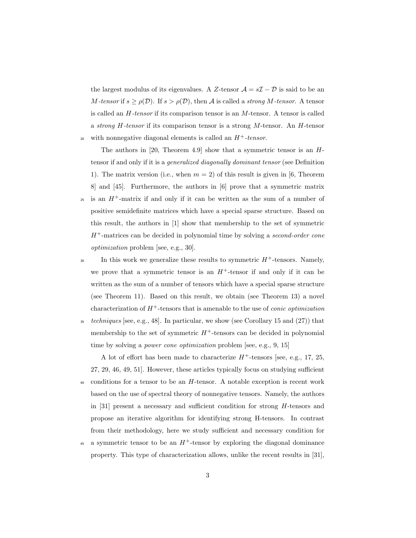the largest modulus of its eigenvalues. A Z-tensor  $\mathcal{A} = s\mathcal{I} - \mathcal{D}$  is said to be an M-tensor if  $s \ge \rho(\mathcal{D})$ . If  $s > \rho(\mathcal{D})$ , then A is called a strong M-tensor. A tensor is called an H-tensor if its comparison tensor is an M-tensor. A tensor is called a strong  $H$ -tensor if its comparison tensor is a strong  $M$ -tensor. An  $H$ -tensor with nonnegative diagonal elements is called an  $H^+$ -tensor.

The authors in  $[20,$  Theorem 4.9 show that a symmetric tensor is an  $H$ tensor if and only if it is a generalized diagonally dominant tensor (see Definition 1). The matrix version (i.e., when  $m = 2$ ) of this result is given in [6, Theorem 8] and [45]. Furthermore, the authors in [6] prove that a symmetric matrix  $\mu$ <sup>25</sup> is an H<sup>+</sup>-matrix if and only if it can be written as the sum of a number of positive semidefinite matrices which have a special sparse structure. Based on this result, the authors in [1] show that membership to the set of symmetric  $H^+$ -matrices can be decided in polynomial time by solving a second-order cone optimization problem [see, e.g., 30].

In this work we generalize these results to symmetric  $H^+$ -tensors. Namely, we prove that a symmetric tensor is an  $H^+$ -tensor if and only if it can be written as the sum of a number of tensors which have a special sparse structure (see Theorem 11). Based on this result, we obtain (see Theorem 13) a novel characterization of  $H^+$ -tensors that is amenable to the use of *conic optimization* 

 $35 \text{ techniques}$  [see, e.g., 48]. In particular, we show (see Corollary 15 and  $(27)$ ) that membership to the set of symmetric  $H^+$ -tensors can be decided in polynomial time by solving a *power cone optimization* problem [see, e.g., 9, 15]

A lot of effort has been made to characterize  $H^+$ -tensors [see, e.g., 17, 25, 27, 29, 46, 49, 51]. However, these articles typically focus on studying sufficient  $40$  conditions for a tensor to be an H-tensor. A notable exception is recent work based on the use of spectral theory of nonnegative tensors. Namely, the authors in [31] present a necessary and sufficient condition for strong  $H$ -tensors and propose an iterative algorithm for identifying strong H-tensors. In contrast from their methodology, here we study sufficient and necessary condition for

45 a symmetric tensor to be an  $H^+$ -tensor by exploring the diagonal dominance property. This type of characterization allows, unlike the recent results in [31],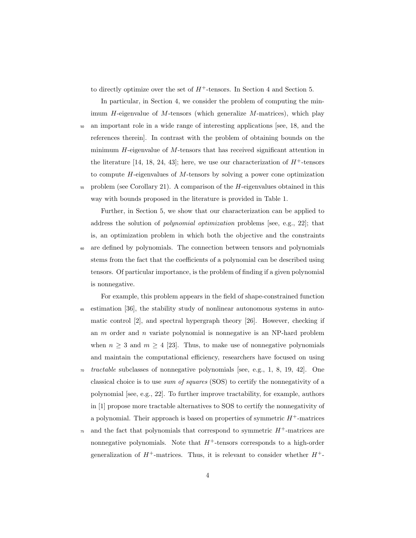to directly optimize over the set of  $H^+$ -tensors. In Section 4 and Section 5.

In particular, in Section 4, we consider the problem of computing the minimum  $H$ -eigenvalue of  $M$ -tensors (which generalize  $M$ -matrices), which play

- <sup>50</sup> an important role in a wide range of interesting applications [see, 18, and the references therein]. In contrast with the problem of obtaining bounds on the minimum H-eigenvalue of M-tensors that has received significant attention in the literature [14, 18, 24, 43]; here, we use our characterization of  $H^+$ -tensors to compute H-eigenvalues of M-tensors by solving a power cone optimization
- $55$  problem (see Corollary 21). A comparison of the  $H$ -eigenvalues obtained in this way with bounds proposed in the literature is provided in Table 1.

Further, in Section 5, we show that our characterization can be applied to address the solution of polynomial optimization problems [see, e.g., 22]; that is, an optimization problem in which both the objective and the constraints <sup>60</sup> are defined by polynomials. The connection between tensors and polynomials stems from the fact that the coefficients of a polynomial can be described using tensors. Of particular importance, is the problem of finding if a given polynomial is nonnegative.

- For example, this problem appears in the field of shape-constrained function <sup>65</sup> estimation [36], the stability study of nonlinear autonomous systems in automatic control [2], and spectral hypergraph theory [26]. However, checking if an  $m$  order and  $n$  variate polynomial is nonnegative is an NP-hard problem when  $n \geq 3$  and  $m \geq 4$  [23]. Thus, to make use of nonnegative polynomials and maintain the computational efficiency, researchers have focused on using  $\tau$ <sup>*tractable* subclasses of nonnegative polynomials [see, e.g., 1, 8, 19, 42]. One</sup>
- classical choice is to use sum of squares (SOS) to certify the nonnegativity of a polynomial [see, e.g., 22]. To further improve tractability, for example, authors in [1] propose more tractable alternatives to SOS to certify the nonnegativity of a polynomial. Their approach is based on properties of symmetric  $H^+$ -matrices
- <sup>75</sup> and the fact that polynomials that correspond to symmetric  $H^+$ -matrices are nonnegative polynomials. Note that  $H^+$ -tensors corresponds to a high-order generalization of  $H^+$ -matrices. Thus, it is relevant to consider whether  $H^+$ -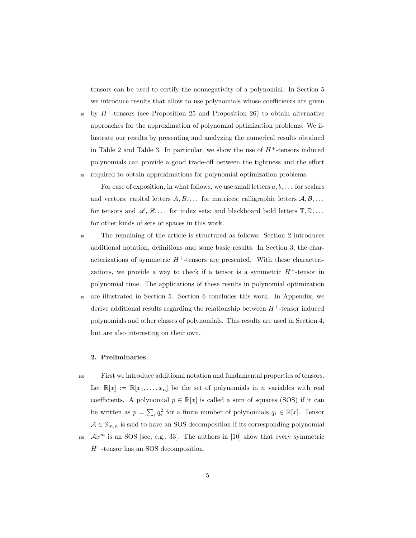tensors can be used to certify the nonnegativity of a polynomial. In Section 5 we introduce results that allow to use polynomials whose coefficients are given

by  $H^+$ -tensors (see Proposition 25 and Proposition 26) to obtain alternative approaches for the approximation of polynomial optimization problems. We illustrate our results by presenting and analyzing the numerical results obtained in Table 2 and Table 3. In particular, we show the use of  $H^+$ -tensors induced polynomials can provide a good trade-off between the tightness and the effort <sup>85</sup> required to obtain approximations for polynomial optimization problems.

For ease of exposition, in what follows, we use small letters  $a, b, \ldots$  for scalars and vectors; capital letters  $A, B, \ldots$  for matrices; calligraphic letters  $A, B, \ldots$ for tensors and  $\mathscr{A}, \mathscr{B}, \ldots$  for index sets; and blackboard bold letters  $\mathbb{T}, \mathbb{D}, \ldots$ for other kinds of sets or spaces in this work.

- <sup>90</sup> The remaining of the article is structured as follows: Section 2 introduces additional notation, definitions and some basic results. In Section 3, the characterizations of symmetric  $H^+$ -tensors are presented. With these characterizations, we provide a way to check if a tensor is a symmetric  $H^+$ -tensor in polynomial time. The applications of these results in polynomial optimization
- <sup>95</sup> are illustrated in Section 5. Section 6 concludes this work. In Appendix, we derive additional results regarding the relationship between  $H^+$ -tensor induced polynomials and other classes of polynomials. This results are used in Section 4, but are also interesting on their own.

#### 2. Preliminaries

- <sup>100</sup> First we introduce additional notation and fundamental properties of tensors. Let  $\mathbb{R}[x] := \mathbb{R}[x_1, \ldots, x_n]$  be the set of polynomials in *n* variables with real coefficients. A polynomial  $p \in \mathbb{R}[x]$  is called a sum of squares (SOS) if it can be written as  $p = \sum_i q_i^2$  for a finite number of polynomials  $q_i \in \mathbb{R}[x]$ . Tensor  $A \in \mathbb{S}_{m,n}$  is said to have an SOS decomposition if its corresponding polynomial
- $Ax<sup>m</sup>$  is an SOS [see, e.g., 33]. The authors in [10] show that every symmetric  $H^+$ -tensor has an SOS decomposition.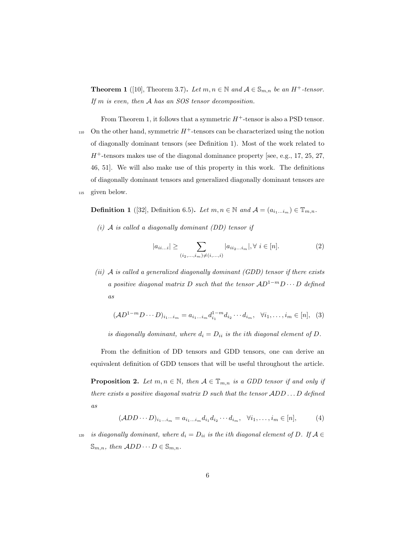**Theorem 1** ([10], Theorem 3.7). Let  $m, n \in \mathbb{N}$  and  $A \in \mathbb{S}_{m,n}$  be an  $H^+$ -tensor. If m is even, then A has an SOS tensor decomposition.

From Theorem 1, it follows that a symmetric  $H^+$ -tensor is also a PSD tensor.  $_{110}$  On the other hand, symmetric  $H^+$ -tensors can be characterized using the notion of diagonally dominant tensors (see Definition 1). Most of the work related to  $H^+$ -tensors makes use of the diagonal dominance property [see, e.g., 17, 25, 27, 46, 51]. We will also make use of this property in this work. The definitions of diagonally dominant tensors and generalized diagonally dominant tensors are <sup>115</sup> given below.

**Definition 1** ([32], Definition 6.5). Let  $m, n \in \mathbb{N}$  and  $\mathcal{A} = (a_{i_1...i_m}) \in \mathbb{T}_{m,n}$ .

 $(i)$  A is called a diagonally dominant (DD) tensor if

$$
|a_{ii...i}| \geq \sum_{(i_2,...,i_m)\neq (i,...,i)} |a_{ii_2...i_m}|, \forall i \in [n].
$$
 (2)

(ii)  $\mathcal A$  is called a generalized diagonally dominant (GDD) tensor if there exists a positive diagonal matrix D such that the tensor  $AD^{1-m}D \cdots D$  defined as

$$
(\mathcal{A}D^{1-m}D\cdots D)_{i_1\ldots i_m} = a_{i_1\ldots i_m}d_{i_1}^{1-m}d_{i_2}\cdots d_{i_m}, \quad \forall i_1,\ldots,i_m \in [n], \quad (3)
$$

is diagonally dominant, where  $d_i = D_{ii}$  is the ith diagonal element of D.

From the definition of DD tensors and GDD tensors, one can derive an equivalent definition of GDD tensors that will be useful throughout the article.

**Proposition 2.** Let  $m, n \in \mathbb{N}$ , then  $A \in \mathbb{T}_{m,n}$  is a GDD tensor if and only if there exists a positive diagonal matrix  $D$  such that the tensor  $ADD \dots D$  defined as

$$
(\mathcal{A}DD\cdots D)_{i_1\ldots i_m}=a_{i_1\ldots i_m}d_{i_1}d_{i_2}\cdots d_{i_m},\quad \forall i_1,\ldots,i_m\in[n],\tag{4}
$$

<sup>120</sup> is diagonally dominant, where  $d_i = D_{ii}$  is the ith diagonal element of D. If  $A \in$  $\mathbb{S}_{m,n}$ , then  $ADD \cdots D \in \mathbb{S}_{m,n}$ .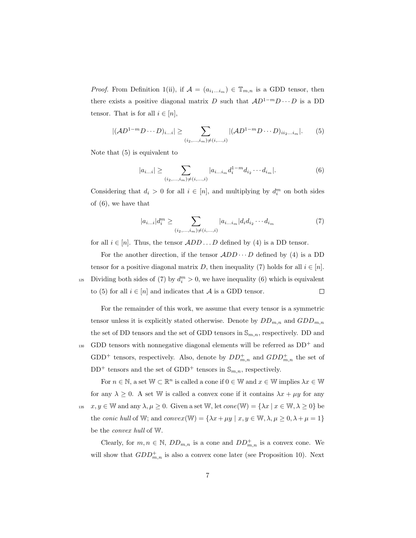*Proof.* From Definition 1(ii), if  $\mathcal{A} = (a_{i_1...i_m}) \in \mathbb{T}_{m,n}$  is a GDD tensor, then there exists a positive diagonal matrix D such that  $AD^{1-m}D \cdots D$  is a DD tensor. That is for all  $i \in [n]$ ,

$$
|(AD^{1-m}D\cdots D)_{i...i}| \geq \sum_{(i_2,\ldots,i_m)\neq (i,\ldots,i)} |(AD^{1-m}D\cdots D)_{ii_2\ldots i_m}|.
$$
 (5)

Note that (5) is equivalent to

$$
|a_{i...i}| \geq \sum_{(i_2,\dots,i_m)\neq(i,\dots,i)} |a_{i...i_m} d_i^{1-m} d_{i_2} \cdots d_{i_m}|.
$$
 (6)

Considering that  $d_i > 0$  for all  $i \in [n]$ , and multiplying by  $d_i^m$  on both sides of (6), we have that

$$
|a_{i...i}|d_i^m \ge \sum_{(i_2,\dots,i_m)\ne(i,\dots,i)} |a_{i...i_m}|d_id_{i_2}\cdots d_{i_m}
$$
\n(7)

for all  $i \in [n]$ . Thus, the tensor  $ADD \dots D$  defined by (4) is a DD tensor.

For the another direction, if the tensor  $ADD \cdots D$  defined by (4) is a DD tensor for a positive diagonal matrix D, then inequality (7) holds for all  $i \in [n]$ . 125 Dividing both sides of (7) by  $d_i^m > 0$ , we have inequality (6) which is equivalent to (5) for all  $i \in [n]$  and indicates that A is a GDD tensor.  $\Box$ 

For the remainder of this work, we assume that every tensor is a symmetric tensor unless it is explicitly stated otherwise. Denote by  $DD_{m,n}$  and  $GDD_{m,n}$ the set of DD tensors and the set of GDD tensors in  $\mathbb{S}_{m,n}$ , respectively. DD and  $\text{GDD}$  tensors with nonnegative diagonal elements will be referred as  $DD^+$  and GDD<sup>+</sup> tensors, respectively. Also, denote by  $DD^+_{m,n}$  and  $GDD^+_{m,n}$  the set of  $DD^+$  tensors and the set of GDD<sup>+</sup> tensors in  $\mathbb{S}_{m,n}$ , respectively.

For  $n \in \mathbb{N}$ , a set  $\mathbb{W} \subset \mathbb{R}^n$  is called a cone if  $0 \in \mathbb{W}$  and  $x \in \mathbb{W}$  implies  $\lambda x \in \mathbb{W}$ for any  $\lambda \geq 0$ . A set W is called a convex cone if it contains  $\lambda x + \mu y$  for any <sup>135</sup>  $x, y \in \mathbb{W}$  and any  $\lambda, \mu \geq 0$ . Given a set  $\mathbb{W}$ , let  $cone(\mathbb{W}) = {\lambda x \mid x \in \mathbb{W}, \lambda \geq 0}$  be the conic hull of W; and convex(W) = { $\lambda x + \mu y \mid x, y \in \mathbb{W}, \lambda, \mu \ge 0, \lambda + \mu = 1$ } be the convex hull of W.

Clearly, for  $m, n \in \mathbb{N}$ ,  $DD_{m,n}$  is a cone and  $DD_{m,n}^+$  is a convex cone. We will show that  $GDD_{m,n}^+$  is also a convex cone later (see Proposition 10). Next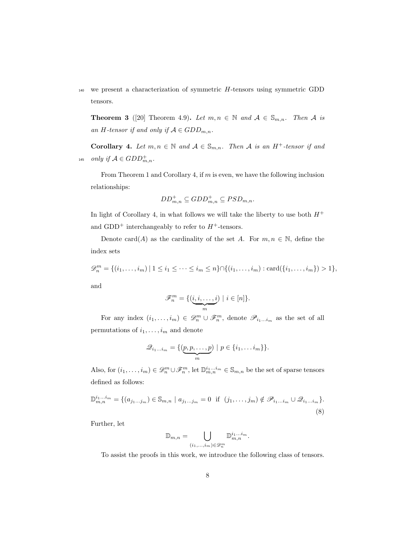$140$  we present a characterization of symmetric  $H$ -tensors using symmetric GDD tensors.

**Theorem 3** ([20] Theorem 4.9). Let  $m, n \in \mathbb{N}$  and  $A \in \mathbb{S}_{m,n}$ . Then A is an H-tensor if and only if  $A \in GDD_{m,n}$ .

Corollary 4. Let  $m, n \in \mathbb{N}$  and  $A \in \mathbb{S}_{m,n}$ . Then A is an H<sup>+</sup>-tensor if and <sup>145</sup> only if  $A \in GDD^+_{m,n}$ .

From Theorem 1 and Corollary 4, if m is even, we have the following inclusion relationships:

$$
DD_{m,n}^{+} \subseteq GDD_{m,n}^{+} \subseteq PSD_{m,n}.
$$

In light of Corollary 4, in what follows we will take the liberty to use both  $H^+$ and GDD<sup>+</sup> interchangeably to refer to  $H^+$ -tensors.

Denote card(A) as the cardinality of the set A. For  $m, n \in \mathbb{N}$ , define the index sets

$$
\mathcal{D}_n^m = \{(i_1, \ldots, i_m) \mid 1 \le i_1 \le \cdots \le i_m \le n\} \cap \{(i_1, \ldots, i_m) : \text{card}(\{i_1, \ldots, i_m\}) > 1\},
$$
 and

$$
\mathscr{F}_n^m = \{(\underbrace{i, i, \dots, i}_{m}) \mid i \in [n]\}.
$$

For any index  $(i_1,\ldots,i_m) \in \mathscr{D}_n^m \cup \mathscr{F}_n^m$ , denote  $\mathscr{P}_{i_1\ldots i_m}$  as the set of all permutations of  $i_1, \ldots, i_m$  and denote

$$
\mathcal{Q}_{i_1...i_m} = \{(\underbrace{p,p,\ldots,p}_{m}) \mid p \in \{i_1,\ldots i_m\}\}.
$$

Also, for  $(i_1, \ldots, i_m) \in \mathscr{D}_n^m \cup \mathscr{F}_n^m$ , let  $\mathbb{D}_{m,n}^{i_1, \ldots, i_m} \in \mathbb{S}_{m,n}$  be the set of sparse tensors defined as follows:

$$
\mathbb{D}_{m,n}^{i_1...i_m} = \{ (a_{j_1...j_m}) \in \mathbb{S}_{m,n} \mid a_{j_1...j_m} = 0 \text{ if } (j_1,...,j_m) \notin \mathscr{P}_{i_1...i_m} \cup \mathscr{Q}_{i_1...i_m} \}.
$$
\n(8)

Further, let

$$
\mathbb{D}_{m,n}=\bigcup_{(i_1,\ldots,i_m)\in \mathscr{D}_n^m}\mathbb{D}_{m,n}^{i_1\ldots i_m}.
$$

To assist the proofs in this work, we introduce the following class of tensors.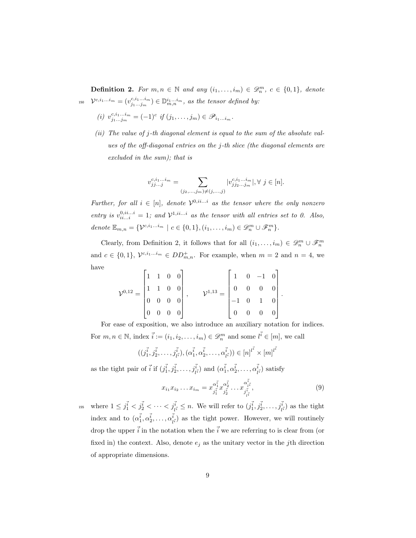**Definition 2.** For  $m, n \in \mathbb{N}$  and any  $(i_1, \ldots, i_m) \in \mathcal{D}_n^m$ ,  $c \in \{0, 1\}$ , denote <sup>150</sup>  $\mathcal{V}^{c,i_1...i_m} = (v^{c,i_1...i_m}_{j_1...j_m}) \in \mathbb{D}^{i_1...i_m}_{m,n}$ , as the tensor defined by:

- (i)  $v_{j_1...j_m}^{c,i_1...i_m} = (-1)^c$  if  $(j_1,...,j_m) \in \mathscr{P}_{i_1...i_m}$ .
- (ii) The value of j-th diagonal element is equal to the sum of the absolute values of the off-diagonal entries on the j-th slice (the diagonal elements are excluded in the sum); that is

$$
v_{jj\ldots j}^{c,i_1\ldots i_m}=\sum_{(j_2,\ldots,j_m)\neq (j,\ldots,j)}|v_{jj_2\ldots j_m}^{c,i_1\ldots i_m}|, \forall \ j\in [n].
$$

Further, for all  $i \in [n]$ , denote  $\mathcal{V}^{0,i...i}$  as the tensor where the only nonzero entry is  $v_{ii...i}^{0,ii...i} = 1$ ; and  $\mathcal{V}^{1,ii...i}$  as the tensor with all entries set to 0. Also, denote  $\mathbb{E}_{m,n} = \{ \mathcal{V}^{c,i_1...i_m} \mid c \in \{0,1\}, (i_1,\ldots,i_m) \in \mathscr{D}_n^m \cup \mathscr{F}_n^m \}.$ 

Clearly, from Definition 2, it follows that for all  $(i_1, \ldots, i_m) \in \mathscr{D}_n^m \cup \mathscr{F}_n^m$ and  $c \in \{0,1\}, V^{c,i_1...i_m} \in DD_{m,n}^+$ . For example, when  $m = 2$  and  $n = 4$ , we have

$$
\mathcal{V}^{0,12} = \begin{bmatrix} 1 & 1 & 0 & 0 \\ 1 & 1 & 0 & 0 \\ 0 & 0 & 0 & 0 \\ 0 & 0 & 0 & 0 \end{bmatrix}, \qquad \mathcal{V}^{1,13} = \begin{bmatrix} 1 & 0 & -1 & 0 \\ 0 & 0 & 0 & 0 \\ -1 & 0 & 1 & 0 \\ 0 & 0 & 0 & 0 \end{bmatrix}.
$$

For ease of exposition, we also introduce an auxiliary notation for indices. For  $m, n \in \mathbb{N}$ , index  $\vec{i} := (i_1, i_2, \dots, i_m) \in \mathcal{D}_n^m$  and some  $l^{\vec{i}} \in [m]$ , we call

$$
((j_1^{\vec{i}}, j_2^{\vec{i}}, \ldots, j_{l^{\vec{i}}}^{\vec{i}}), (\alpha_1^{\vec{i}}, \alpha_2^{\vec{i}}, \ldots, \alpha_{l^{\vec{i}}}^{\vec{i}})) \in [n]^{l^{\vec{i}}} \times [m]^{l^{\vec{i}}}
$$

as the tight pair of  $\vec{i}$  if  $(j_1^{\vec{i}}, j_2^{\vec{i}}, \ldots, j_{\vec{i}}^{\vec{i}})$  and  $(\alpha_1^{\vec{i}}, \alpha_2^{\vec{i}}, \ldots, \alpha_{\vec{l}}^{\vec{i}})$  $\binom{i}{l^{\vec{i}}}$  satisfy

$$
x_{i_1} x_{i_2} \dots x_{i_m} = x_{j_1^{\bar{i}} 1}^{\alpha_1^{\bar{i}} 1} x_{j_2^{\bar{i}}}^{\alpha_2^{\bar{i}} 1} \dots x_{j_{\bar{i}}^{\bar{i}} 1}^{\alpha_{\bar{i}}^{\bar{i}} 1},\tag{9}
$$

<sup>155</sup> where  $1 \leq j_1^{\vec{i}} < j_2^{\vec{i}} < \cdots < j_{l^{\vec{i}}}^{\vec{i}} \leq n$ . We will refer to  $(j_1^{\vec{i}}, j_2^{\vec{i}}, \ldots, j_{l^{\vec{i}}}^{\vec{i}})$  as the tight index and to  $(\alpha_1^{\vec{i}}, \alpha_2^{\vec{i}}, \ldots, \alpha_l^{\vec{i}})$  $\binom{i}{l}$  as the tight power. However, we will routinely drop the upper  $\vec{i}$  in the notation when the  $\vec{i}$  we are referring to is clear from (or fixed in) the context. Also, denote  $e_j$  as the unitary vector in the j<sup>th</sup> direction of appropriate dimensions.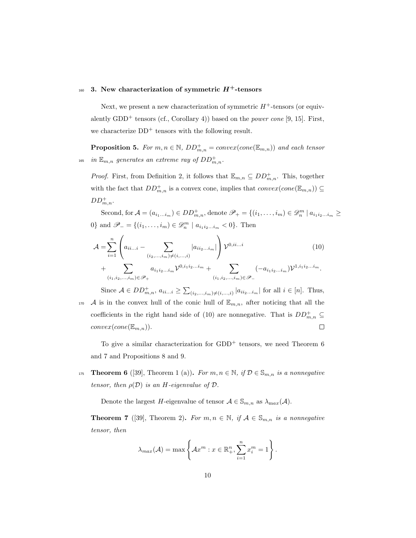## $160$  3. New characterization of symmetric  $H^+$ -tensors

Next, we present a new characterization of symmetric  $H^+$ -tensors (or equivalently  $GDD^+$  tensors (cf., Corollary 4)) based on the *power cone* [9, 15]. First, we characterize  $DD^+$  tensors with the following result.

**Proposition 5.** For  $m, n \in \mathbb{N}$ ,  $DD^+_{m,n} = convex(cone(\mathbb{E}_{m,n}))$  and each tensor <sup>165</sup> in  $\mathbb{E}_{m,n}$  generates an extreme ray of  $DD^+_{m,n}$ .

*Proof.* First, from Definition 2, it follows that  $\mathbb{E}_{m,n} \subseteq DD_{m,n}^+$ . This, together with the fact that  $DD^+_{m,n}$  is a convex cone, implies that  $convex(cone(\mathbb{E}_{m,n})) \subseteq$  $DD_{m,n}^+$ .

Second, for  $\mathcal{A} = (a_{i_1...i_m}) \in DD_{m,n}^+$ , denote  $\mathscr{P}_+ = \{(i_1,...,i_m) \in \mathscr{D}_n^m \mid a_{i_1 i_2...i_m} \geq$ 0} and  $\mathscr{P}_{-} = \{(i_1, \ldots, i_m) \in \mathscr{D}_{n}^m \mid a_{i_1 i_2 \ldots i_m} < 0\}$ . Then

$$
\mathcal{A} = \sum_{i=1}^{n} \left( a_{ii...i} - \sum_{(i_2,\dots,i_m)\neq(i,\dots,i)} |a_{ii_2\dots i_m}| \right) \mathcal{V}^{0,ii...i}
$$
\n
$$
+ \sum a_{i_1 i_2\dots i_m} \mathcal{V}^{0,i_1 i_2\dots i_m} + \sum (-a_{i_1 i_2\dots i_m}) \mathcal{V}^{1,i_1 i_2\dots i_m}.
$$
\n
$$
(10)
$$

$$
(i_1, i_2, \ldots, i_m) \in \mathcal{P}_+
$$
\n
$$
(i_1, i_2, \ldots, i_m) \in \mathcal{P}_-
$$
\n
$$
(i_1, i_2, \ldots, i_m) \in \mathcal{P}_-
$$
\n
$$
(i_1, i_2, \ldots, i_m) \in \mathcal{P}_-
$$
\n
$$
(i_1, i_2, \ldots, i_m) \in \mathcal{P}_-
$$
\n
$$
(i_1, i_2, \ldots, i_m) \in \mathcal{P}_-
$$
\n
$$
(i_1, i_2, \ldots, i_m) \in \mathcal{P}_-
$$
\n
$$
(i_1, i_2, \ldots, i_m) \in \mathcal{P}_-
$$

 $(i_2,...,i_m)\neq(i,...,i)$ 170 A is in the convex hull of the conic hull of  $\mathbb{E}_{m,n}$ , after noticing that all the coefficients in the right hand side of (10) are nonnegative. That is  $DD^+_{m,n} \subseteq$  $\Box$  $convex(cone(\mathbb{E}_{m,n}))$ .

To give a similar characterization for  $GDD^+$  tensors, we need Theorem 6 and 7 and Propositions 8 and 9.

175 **Theorem 6** ([39], Theorem 1 (a)). For  $m, n \in \mathbb{N}$ , if  $\mathcal{D} \in \mathbb{S}_{m,n}$  is a nonnegative tensor, then  $\rho(\mathcal{D})$  is an H-eigenvalue of  $\mathcal{D}$ .

Denote the largest H-eigenvalue of tensor  $A \in \mathbb{S}_{m,n}$  as  $\lambda_{\max}(A)$ .

**Theorem 7** ([39], Theorem 2). For  $m, n \in \mathbb{N}$ , if  $A \in \mathbb{S}_{m,n}$  is a nonnegative tensor, then

$$
\lambda_{max}(\mathcal{A}) = \max \left\{ \mathcal{A}x^m : x \in \mathbb{R}^n_+, \sum_{i=1}^n x_i^m = 1 \right\}.
$$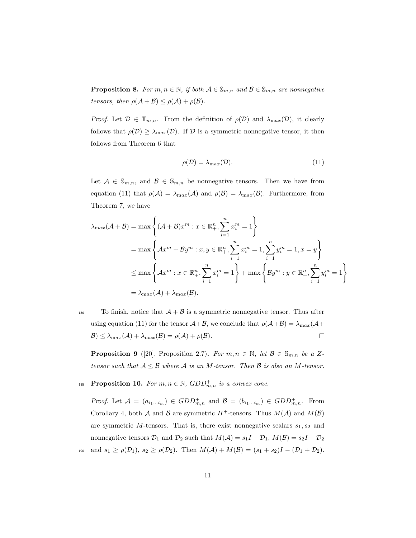**Proposition 8.** For  $m, n \in \mathbb{N}$ , if both  $A \in \mathbb{S}_{m,n}$  and  $B \in \mathbb{S}_{m,n}$  are nonnegative tensors, then  $\rho(\mathcal{A} + \mathcal{B}) \leq \rho(\mathcal{A}) + \rho(\mathcal{B})$ .

*Proof.* Let  $\mathcal{D} \in \mathbb{T}_{m,n}$ . From the definition of  $\rho(\mathcal{D})$  and  $\lambda_{\max}(\mathcal{D})$ , it clearly follows that  $\rho(\mathcal{D}) \geq \lambda_{\max}(\mathcal{D})$ . If  $\mathcal D$  is a symmetric nonnegative tensor, it then follows from Theorem 6 that

$$
\rho(\mathcal{D}) = \lambda_{\max}(\mathcal{D}).\tag{11}
$$

Let  $A \in \mathbb{S}_{m,n}$ , and  $B \in \mathbb{S}_{m,n}$  be nonnegative tensors. Then we have from equation (11) that  $\rho(\mathcal{A}) = \lambda_{max}(\mathcal{A})$  and  $\rho(\mathcal{B}) = \lambda_{max}(\mathcal{B})$ . Furthermore, from Theorem 7, we have

$$
\lambda_{\max}(\mathcal{A} + \mathcal{B}) = \max \left\{ (\mathcal{A} + \mathcal{B})x^m : x \in \mathbb{R}_+^n, \sum_{i=1}^n x_i^m = 1 \right\}
$$
  
=  $\max \left\{ \mathcal{A}x^m + \mathcal{B}y^m : x, y \in \mathbb{R}_+^n, \sum_{i=1}^n x_i^m = 1, \sum_{i=1}^n y_i^m = 1, x = y \right\}$   
 $\leq \max \left\{ \mathcal{A}x^m : x \in \mathbb{R}_+^n, \sum_{i=1}^n x_i^m = 1 \right\} + \max \left\{ \mathcal{B}y^m : y \in \mathbb{R}_+^n, \sum_{i=1}^n y_i^m = 1 \right\}$   
=  $\lambda_{\max}(\mathcal{A}) + \lambda_{\max}(\mathcal{B}).$ 

<sup>180</sup> To finish, notice that  $A + B$  is a symmetric nonnegative tensor. Thus after using equation (11) for the tensor  $A+\mathcal{B}$ , we conclude that  $\rho(A+\mathcal{B}) = \lambda_{max}(A+\mathcal{B})$  $\mathcal{B}$ )  $\leq \lambda_{\max}(\mathcal{A}) + \lambda_{\max}(\mathcal{B}) = \rho(\mathcal{A}) + \rho(\mathcal{B}).$  $\Box$ 

**Proposition 9** ([20], Proposition 2.7). For  $m, n \in \mathbb{N}$ , let  $\mathcal{B} \in \mathbb{S}_{m,n}$  be a Ztensor such that  $A \leq B$  where A is an M-tensor. Then B is also an M-tensor.

## 185 **Proposition 10.** For  $m, n \in \mathbb{N}$ ,  $GDD^+_{m,n}$  is a convex cone.

*Proof.* Let  $A = (a_{i_1...i_m}) \in GDD_{m,n}^+$  and  $B = (b_{i_1...i_m}) \in GDD_{m,n}^+$ . From Corollary 4, both A and B are symmetric  $H^+$ -tensors. Thus  $M(A)$  and  $M(B)$ are symmetric  $M$ -tensors. That is, there exist nonnegative scalars  $s_1, s_2$  and nonnegative tensors  $\mathcal{D}_1$  and  $\mathcal{D}_2$  such that  $M(\mathcal{A}) = s_1I - \mathcal{D}_1$ ,  $M(\mathcal{B}) = s_2I - \mathcal{D}_2$ 190 and  $s_1 \ge \rho(\mathcal{D}_1)$ ,  $s_2 \ge \rho(\mathcal{D}_2)$ . Then  $M(\mathcal{A}) + M(\mathcal{B}) = (s_1 + s_2)I - (\mathcal{D}_1 + \mathcal{D}_2)$ .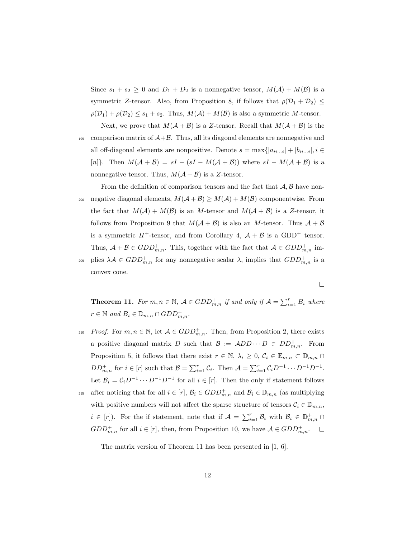Since  $s_1 + s_2 \geq 0$  and  $D_1 + D_2$  is a nonnegative tensor,  $M(A) + M(B)$  is a symmetric Z-tensor. Also, from Proposition 8, if follows that  $\rho(\mathcal{D}_1 + \mathcal{D}_2) \leq$  $\rho(\mathcal{D}_1) + \rho(\mathcal{D}_2) \leq s_1 + s_2$ . Thus,  $M(\mathcal{A}) + M(\mathcal{B})$  is also a symmetric M-tensor.

Next, we prove that  $M(A + B)$  is a Z-tensor. Recall that  $M(A + B)$  is the 195 comparison matrix of  $A+B$ . Thus, all its diagonal elements are nonnegative and all off-diagonal elements are nonpositive. Denote  $s = \max\{|a_{ii...i}| + |b_{ii...i}|, i \in$ [n]}. Then  $M(A + B) = sI - (sI - M(A + B))$  where  $sI - M(A + B)$  is a nonnegative tensor. Thus,  $M(A + B)$  is a Z-tensor.

From the definition of comparison tensors and the fact that  $A, B$  have non-200 negative diagonal elements,  $M(A + B) \ge M(A) + M(B)$  componentwise. From the fact that  $M(A) + M(B)$  is an M-tensor and  $M(A + B)$  is a Z-tensor, it follows from Proposition 9 that  $M(A + B)$  is also an M-tensor. Thus  $A + B$ is a symmetric  $H^+$ -tensor, and from Corollary 4,  $A + B$  is a GDD<sup>+</sup> tensor. Thus,  $A + B \in GDD^+_{m,n}$ . This, together with the fact that  $A \in GDD^+_{m,n}$  im-<sup>205</sup> plies  $\lambda A \in GDD^+_{m,n}$  for any nonnegative scalar  $\lambda$ , implies that  $GDD^+_{m,n}$  is a

convex cone.

 $\Box$ 

**Theorem 11.** For  $m, n \in \mathbb{N}$ ,  $A \in GDD^+_{m,n}$  if and only if  $A = \sum_{i=1}^r B_i$  where  $r \in \mathbb{N}$  and  $B_i \in \mathbb{D}_{m,n} \cap GDD_{m,n}^+$ .

- 210 Proof. For  $m, n \in \mathbb{N}$ , let  $\mathcal{A} \in GDD^+_{m,n}$ . Then, from Proposition 2, there exists a positive diagonal matrix D such that  $\mathcal{B} := ADD \cdots D \in DD_{m,n}^+$ . From Proposition 5, it follows that there exist  $r \in \mathbb{N}$ ,  $\lambda_i \geq 0$ ,  $C_i \in \mathbb{E}_{m,n} \subset \mathbb{D}_{m,n} \cap$  $DD^+_{m,n}$  for  $i \in [r]$  such that  $\mathcal{B} = \sum_{i=1}^r \mathcal{C}_i$ . Then  $\mathcal{A} = \sum_{i=1}^r \mathcal{C}_i D^{-1} \cdots D^{-1} D^{-1}$ . Let  $\mathcal{B}_i = \mathcal{C}_i D^{-1} \cdots D^{-1} D^{-1}$  for all  $i \in [r]$ . Then the only if statement follows
- after noticing that for all  $i \in [r]$ ,  $\mathcal{B}_i \in GDD_{m,n}^+$  and  $\mathcal{B}_i \in \mathbb{D}_{m,n}$  (as multiplying with positive numbers will not affect the sparse structure of tensors  $C_i \in \mathbb{D}_{m,n}$ ,  $i \in [r]$ ). For the if statement, note that if  $\mathcal{A} = \sum_{i=1}^r \mathcal{B}_i$  with  $\mathcal{B}_i \in \mathbb{D}^+_{m,n}$  $GDD_{m,n}^+$  for all  $i \in [r]$ , then, from Proposition 10, we have  $A \in GDD_{m,n}^+$ .

The matrix version of Theorem 11 has been presented in [1, 6].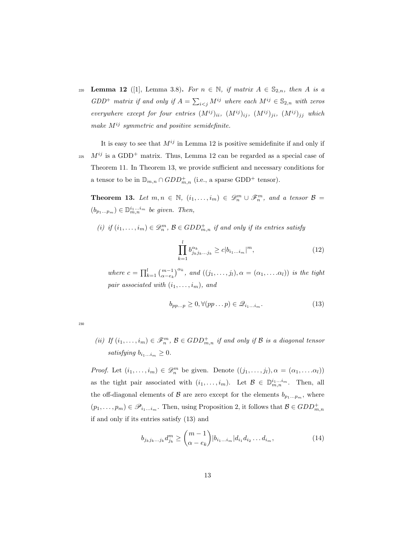220 Lemma 12 ([1], Lemma 3.8). For  $n \in \mathbb{N}$ , if matrix  $A \in \mathbb{S}_{2,n}$ , then A is a  $GDD^+$  matrix if and only if  $A = \sum_{i < j} M^{ij}$  where each  $M^{ij} \in \mathbb{S}_{2,n}$  with zeros everywhere except for four entries  $(M^{ij})_{ii}$ ,  $(M^{ij})_{ij}$ ,  $(M^{ij})_{ji}$ ,  $(M^{ij})_{jj}$  which make  $M^{ij}$  symmetric and positive semidefinite.

It is easy to see that  $M^{ij}$  in Lemma 12 is positive semidefinite if and only if  $^{225}$   $M^{ij}$  is a GDD<sup>+</sup> matrix. Thus, Lemma 12 can be regarded as a special case of Theorem 11. In Theorem 13, we provide sufficient and necessary conditions for a tensor to be in  $\mathbb{D}_{m,n} \cap GDD_{m,n}^+$  (i.e., a sparse GDD<sup>+</sup> tensor).

**Theorem 13.** Let  $m, n \in \mathbb{N}$ ,  $(i_1, \ldots, i_m) \in \mathscr{D}_n^m \cup \mathscr{F}_n^m$ , and a tensor  $\mathcal{B} =$  $(b_{p_1...p_m}) \in \mathbb{D}^{i_1...i_m}_{m,n}$  be given. Then,

(i) if  $(i_1, \ldots, i_m) \in \mathscr{D}_n^m$ ,  $\mathcal{B} \in GDD_{m,n}^+$  if and only if its entries satisfy

$$
\prod_{k=1}^{l} b_{j_{k}j_{k}...j_{k}}^{\alpha_{k}} \geq c|b_{i_{1}...i_{m}}|^{m},
$$
\n(12)

where  $c = \prod_{k=1}^{l} {m-1 \choose \alpha - e_k}^{\alpha_k}$ , and  $((j_1, \ldots, j_l), \alpha = (\alpha_1, \ldots, \alpha_l))$  is the tight pair associated with  $(i_1, \ldots, i_m)$ , and

$$
b_{pp\ldots p} \ge 0, \forall (pp\ldots p) \in \mathcal{Q}_{i_1\ldots i_m}.\tag{13}
$$

230

(ii) If  $(i_1, \ldots, i_m) \in \mathscr{F}_n^m$ ,  $\mathcal{B} \in GDD_{m,n}^+$  if and only if  $\mathcal{B}$  is a diagonal tensor satisfying  $b_{i_1...i_m} \geq 0$ .

*Proof.* Let  $(i_1, \ldots, i_m) \in \mathcal{D}_n^m$  be given. Denote  $((j_1, \ldots, j_l), \alpha = (\alpha_1, \ldots, \alpha_l))$ as the tight pair associated with  $(i_1, \ldots, i_m)$ . Let  $\mathcal{B} \in \mathbb{D}_{m,n}^{i_1...i_m}$ . Then, all the off-diagonal elements of  $\mathcal B$  are zero except for the elements  $b_{p_1...p_m}$ , where  $(p_1, \ldots, p_m) \in \mathscr{P}_{i_1 \ldots i_m}$ . Then, using Proposition 2, it follows that  $\mathcal{B} \in GDD^+_{m,n}$ if and only if its entries satisfy (13) and

$$
b_{j_k j_k \dots j_k} d_{j_k}^m \ge \binom{m-1}{\alpha - e_k} |b_{i_1 \dots i_m}| d_{i_1} d_{i_2} \dots d_{i_m},
$$
\n(14)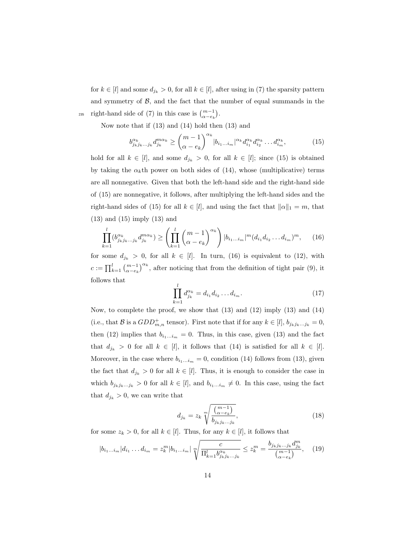for  $k \in [l]$  and some  $d_{j_k} > 0$ , for all  $k \in [l]$ , after using in (7) the sparsity pattern and symmetry of  $\beta$ , and the fact that the number of equal summands in the <sup>235</sup> right-hand side of (7) in this case is  $\binom{m-1}{\alpha-e_k}$ .

Now note that if (13) and (14) hold then (13) and

$$
b_{j_k j_k \dots j_k}^{\alpha_k} d_{j_k}^{m\alpha_k} \ge \binom{m-1}{\alpha - e_k}^{\alpha_k} |b_{i_1 \dots i_m}|^{\alpha_k} d_{i_1}^{\alpha_k} d_{i_2}^{\alpha_k} \dots d_{i_m}^{\alpha_k},\tag{15}
$$

hold for all  $k \in [l]$ , and some  $d_{j_k} > 0$ , for all  $k \in [l]$ ; since (15) is obtained by taking the  $\alpha_k$ <sup>th</sup> power on both sides of (14), whose (multiplicative) terms are all nonnegative. Given that both the left-hand side and the right-hand side of (15) are nonnegative, it follows, after multiplying the left-hand sides and the right-hand sides of (15) for all  $k \in [l]$ , and using the fact that  $||\alpha||_1 = m$ , that (13) and (15) imply (13) and

$$
\prod_{k=1}^{l} (b_{j_k j_k \dots j_k}^{a_k} d_{j_k}^{m\alpha_k}) \ge \left(\prod_{k=1}^{l} {m-1 \choose \alpha - e_k}^{\alpha_k}\right) |b_{i_1 \dots i_m}|^m (d_{i_1} d_{i_2} \dots d_{i_m})^m, \tag{16}
$$

for some  $d_{jk} > 0$ , for all  $k \in [l]$ . In turn, (16) is equivalent to (12), with  $c := \prod_{k=1}^{l} \binom{m-1}{\alpha - e_k}^{\alpha_k}$ , after noticing that from the definition of tight pair (9), it follows that

$$
\prod_{k=1}^{l} d_{j_k}^{\alpha_k} = d_{i_1} d_{i_2} \dots d_{i_m}.
$$
\n(17)

Now, to complete the proof, we show that (13) and (12) imply (13) and (14) (i.e., that B is a  $GDD_{m,n}^+$  tensor). First note that if for any  $k \in [l], b_{j_k j_k...j_k} = 0$ , then (12) implies that  $b_{i_1...i_m} = 0$ . Thus, in this case, given (13) and the fact that  $d_{j_k} > 0$  for all  $k \in [l]$ , it follows that (14) is satisfied for all  $k \in [l]$ . Moreover, in the case where  $b_{i_1...i_m} = 0$ , condition (14) follows from (13), given the fact that  $d_{j_k} > 0$  for all  $k \in [l]$ . Thus, it is enough to consider the case in which  $b_{j_kj_k...j_k} > 0$  for all  $k \in [l]$ , and  $b_{i_1...i_m} \neq 0$ . In this case, using the fact that  $d_{j_k} > 0$ , we can write that

$$
d_{j_k} = z_k \sqrt[m]{\frac{\binom{m-1}{\alpha - e_k}}{b_{j_k j_k \dots j_k}}},\tag{18}
$$

for some  $z_k > 0$ , for all  $k \in [l]$ . Thus, for any  $k \in [l]$ , it follows that

$$
|b_{i_1...i_m}|d_{i_1}...d_{i_m} = z_k^m |b_{i_1...i_m}| \sqrt[m]{\frac{c}{\prod_{k=1}^l b_{j_k j_k...j_k}^{\alpha_k}}} \le z_k^m = \frac{b_{j_k j_k...j_k} d_{j_k}^m}{\binom{m-1}{\alpha - e_k}}, \quad (19)
$$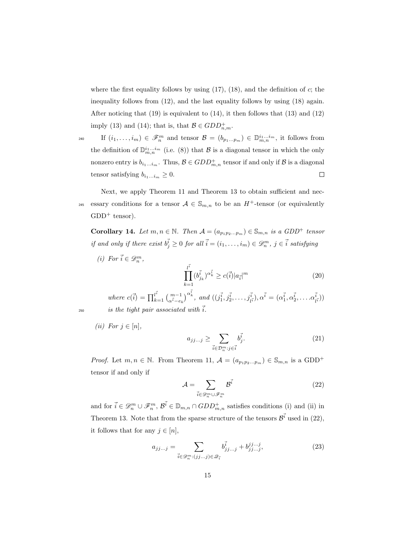where the first equality follows by using  $(17)$ ,  $(18)$ , and the definition of c; the inequality follows from (12), and the last equality follows by using (18) again. After noticing that (19) is equivalent to (14), it then follows that (13) and (12) imply (13) and (14); that is, that  $\mathcal{B} \in GDD_{n,m}^+$ .

 $\text{If } (i_1,\ldots,i_m) \in \mathscr{F}_n^m \text{ and tensor } \mathcal{B} = (b_{p_1\ldots p_m}) \in \mathbb{D}_{m,n}^{i_1\ldots i_m}, \text{ it follows from }$ the definition of  $\mathbb{D}_{m,n}^{i_1...i_m}$  (i.e. (8)) that B is a diagonal tensor in which the only nonzero entry is  $b_{i_1...i_m}$ . Thus,  $\mathcal{B} \in GDD^+_{m,n}$  tensor if and only if  $\mathcal B$  is a diagonal tensor satisfying  $b_{i_1...i_m} \geq 0$ .  $\Box$ 

Next, we apply Theorem 11 and Theorem 13 to obtain sufficient and necessary conditions for a tensor  $A \in \mathbb{S}_{m,n}$  to be an  $H^+$ -tensor (or equivalently  $GDD^+$  tensor).

Corollary 14. Let  $m, n \in \mathbb{N}$ . Then  $\mathcal{A} = (a_{p_1p_2...p_m}) \in \mathbb{S}_{m,n}$  is a GDD<sup>+</sup> tensor if and only if there exist  $b_j^{\vec{i}} \geq 0$  for all  $\vec{i} = (i_1, \ldots, i_m) \in \mathscr{D}_n^m$ ,  $j \in \vec{i}$  satisfying

(i) For  $\vec{i} \in \mathscr{D}_n^m$ ,

$$
\prod_{k=1}^{l^{\vec{i}}} (b_{j_k}^{\vec{i}})^{\alpha_k^{\vec{i}}} \ge c(\vec{i}) |a_{\vec{i}}|^m \tag{20}
$$

where  $c(\vec{i}) = \prod_{k=1}^{l^{\vec{i}}}\binom{m-1}{\alpha^{\vec{i}}-e_k}^{\alpha^{\vec{i}}_k}$ , and  $((j^{\vec{i}}_1, j^{\vec{i}}_2, \ldots, j^{\vec{i}}_{l^{\vec{i}}}), \alpha^{\vec{i}} = (\alpha^{\vec{i}}_1, \alpha^{\vec{i}}_2, \ldots, \alpha^{\vec{i}}_{l^{\vec{i}}})$  $\binom{i}{l^{\vec{i}}})$ <sup>250</sup> is the tight pair associated with  $\vec{i}$ .

(ii) For  $j \in [n]$ ,

$$
a_{jj\ldots j} \ge \sum_{\vec{i}\in\mathcal{D}_n^m: j\in\vec{i}} b_j^{\vec{i}}.\tag{21}
$$

*Proof.* Let  $m, n \in \mathbb{N}$ . From Theorem 11,  $\mathcal{A} = (a_{p_1p_2...p_m}) \in \mathbb{S}_{m,n}$  is a GDD<sup>+</sup> tensor if and only if

$$
\mathcal{A} = \sum_{\vec{i} \in \mathcal{D}_n^m \cup \mathcal{F}_n^m} \mathcal{B}^{\vec{i}} \tag{22}
$$

and for  $\vec{i} \in \mathcal{D}_n^m \cup \mathcal{F}_n^m$ ,  $\vec{\mathcal{B}}^{\vec{i}} \in \mathbb{D}_{m,n} \cap GDD_{m,n}^+$  satisfies conditions (i) and (ii) in Theorem 13. Note that from the sparse structure of the tensors  $\mathcal{B}^{\vec{i}}$  used in (22), it follows that for any  $j \in [n]$ ,

$$
a_{jj...j} = \sum_{\vec{i} \in \mathcal{D}_n^m : (jj...j) \in \mathcal{Q}_{\vec{i}}} b_{jj...j}^{\vec{i}} + b_{jj...j}^{j, \dots j},
$$
(23)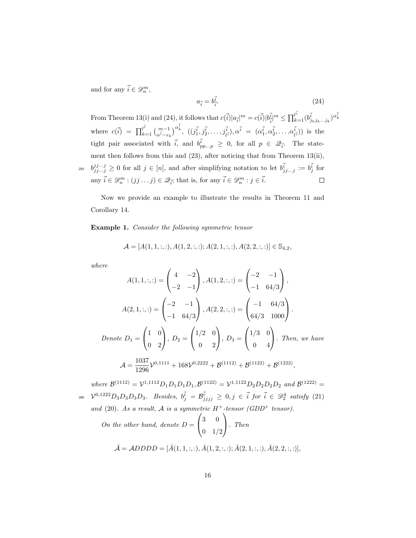and for any  $\vec{i} \in \mathscr{D}_n^m$ ,

$$
a_{\vec{i}} = b_{\vec{i}}^{\vec{i}}.\tag{24}
$$

 $\vec{b}^{\vec{i}}_{\vec{i}}|^{m} \leq \prod_{k=1}^{l^{\vec{i}}}(b^{\vec{i}}_{j_kj_k...j_k})^{\alpha^{\vec{i}}_k}$ From Theorem 13(i) and (24), it follows that  $c(\vec{i})|a_{\vec{i}}|^m = c(\vec{i})|b_{\vec{i}}^{\vec{i}}$ where  $c(\vec{i}) = \prod_{k=1}^{l^{\vec{i}}} {m-1 \choose \alpha^{\vec{i}}-e_k}^{\alpha^{\vec{i}}^{\vec{i}}}, ((j_1^{\vec{i}}, j_2^{\vec{i}}, \dots, j_{l^{\vec{i}}}^{\vec{i}}), \alpha^{\vec{i}} = (\alpha_1^{\vec{i}}, \alpha_2^{\vec{i}}, \dots, \alpha_l^{\vec{i}})$  $\binom{i}{l^{\vec{i}}}$ ) is the tight pair associated with  $\vec{i}$ , and  $b_{pp\ldots p}^{\vec{i}} \geq 0$ , for all  $p \in \mathscr{Q}_{\vec{i}}$ . The statement then follows from this and (23), after noticing that from Theorem 13(ii), <sup>255</sup>  $b_{j}^{j...j} \geq 0$  for all  $j \in [n]$ , and after simplifying notation to let  $b_{j}^{i}$ <sub>...j</sub> :=  $b_{j}^{i}$  for any  $\vec{i} \in \mathcal{D}_n^m : (jj \dots j) \in \mathcal{Q}_{\vec{i}}$ ; that is, for any  $\vec{i} \in \mathcal{D}_n^m : j \in \vec{i}$ .  $\Box$ 

Now we provide an example to illustrate the results in Theorem 11 and Corollary 14.

Example 1. Consider the following symmetric tensor

$$
\mathcal{A} = [A(1,1,:,:), A(1,2,:,:); A(2,1,:,:), A(2,2,:,:)] \in \mathbb{S}_{4,2},
$$

where

$$
A(1,1,:,:) = \begin{pmatrix} 4 & -2 \\ -2 & -1 \end{pmatrix}, A(1,2,:,:) = \begin{pmatrix} -2 & -1 \\ -1 & 64/3 \end{pmatrix},
$$

$$
A(2,1,:,:) = \begin{pmatrix} -2 & -1 \\ -1 & 64/3 \end{pmatrix}, A(2,2,:,:) = \begin{pmatrix} -1 & 64/3 \\ 64/3 & 1000 \end{pmatrix}.
$$

$$
Denote D_1 = \begin{pmatrix} 1 & 0 \\ 0 & 2 \end{pmatrix}, D_2 = \begin{pmatrix} 1/2 & 0 \\ 0 & 2 \end{pmatrix}, D_3 = \begin{pmatrix} 1/3 & 0 \\ 0 & 4 \end{pmatrix}. Then, we have
$$

$$
A = \frac{1037}{1296} \mathcal{V}^{0,1111} + 168 \mathcal{V}^{0,2222} + \mathcal{B}^{(1112)} + \mathcal{B}^{(1122)} + \mathcal{B}^{(1222)},
$$

where  $\mathcal{B}^{(1112)} = \mathcal{V}^{1,1112} D_1 D_1 D_1 D_1, \mathcal{B}^{(1122)} = \mathcal{V}^{1,1122} D_2 D_2 D_2 D_2$  and  $\mathcal{B}^{(1222)} =$  $v^{0,1222}D_3D_3D_3D_3$ . Besides,  $b_j^{\vec{i}} = \mathcal{B}_{jjjj}^{\vec{i}} \geq 0, j \in \vec{i}$  for  $\vec{i} \in \mathscr{D}_2^4$  satisfy (21) and (20). As a result, A is a symmetric  $H^+$ -tensor (GDD<sup>+</sup> tensor).

On the other hand, denote 
$$
D = \begin{pmatrix} 3 & 0 \\ 0 & 1/2 \end{pmatrix}
$$
. Then

$$
\bar{A} = ADDDD = [\bar{A}(1, 1, \dots); \bar{A}(1, 2, \dots); \bar{A}(2, 1, \dots); \bar{A}(2, 2, \dots)],
$$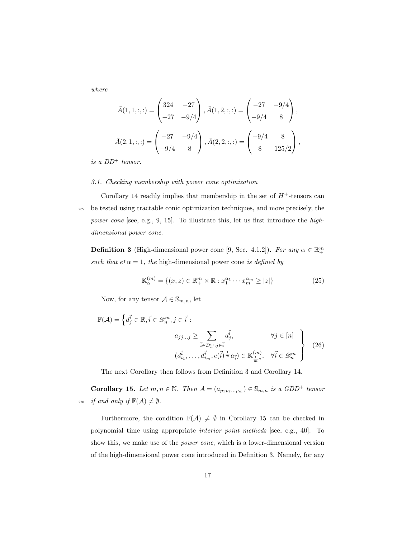where

$$
\bar{A}(1,1,:,:) = \begin{pmatrix} 324 & -27 \\ -27 & -9/4 \end{pmatrix}, \bar{A}(1,2,:,:) = \begin{pmatrix} -27 & -9/4 \\ -9/4 & 8 \end{pmatrix},
$$

$$
\bar{A}(2,1,:,:) = \begin{pmatrix} -27 & -9/4 \\ -9/4 & 8 \end{pmatrix}, \bar{A}(2,2,:,:) = \begin{pmatrix} -9/4 & 8 \\ 8 & 125/2 \end{pmatrix},
$$

is a  $DD^+$  tensor.

#### 3.1. Checking membership with power cone optimization

Corollary 14 readily implies that membership in the set of  $H^+$ -tensors can <sup>265</sup> be tested using tractable conic optimization techniques, and more precisely, the power cone [see, e.g., 9, 15]. To illustrate this, let us first introduce the highdimensional power cone.

**Definition 3** (High-dimensional power cone [9, Sec. 4.1.2]). For any  $\alpha \in \mathbb{R}^m_+$ such that  $e^{\tau} \alpha = 1$ , the high-dimensional power cone is defined by

$$
\mathbb{K}_{\alpha}^{(m)} = \{ (x, z) \in \mathbb{R}_+^m \times \mathbb{R} : x_1^{\alpha_1} \cdots x_m^{\alpha_m} \ge |z| \}
$$
(25)

Now, for any tensor  $A \in \mathbb{S}_{m,n}$ , let

$$
\mathbb{F}(\mathcal{A}) = \left\{ d_j^{\vec{i}} \in \mathbb{R}, \vec{i} \in \mathcal{D}_n^m, j \in \vec{i} : \right.
$$
  

$$
a_{jj\ldots j} \ge \sum_{\vec{i} \in \mathcal{D}_n^m : j \in \vec{i}} d_j^{\vec{i}}, \qquad \forall j \in [n] \right\}
$$
  

$$
(d_{i_1}^{\vec{i}}, \ldots, d_{i_m}^{\vec{i}}, c(\vec{i})^{\frac{1}{m}} a_{\vec{i}}) \in \mathbb{K}_{\frac{1}{m}e}^{(m)}, \quad \forall \vec{i} \in \mathcal{D}_n^m
$$
 (26)

The next Corollary then follows from Definition 3 and Corollary 14.

**Corollary 15.** Let  $m, n \in \mathbb{N}$ . Then  $\mathcal{A} = (a_{p_1p_2...p_m}) \in \mathbb{S}_{m,n}$  is a GDD<sup>+</sup> tensor 270 if and only if  $\mathbb{F}(\mathcal{A}) \neq \emptyset$ .

Furthermore, the condition  $\mathbb{F}(\mathcal{A}) \neq \emptyset$  in Corollary 15 can be checked in polynomial time using appropriate interior point methods [see, e.g., 40]. To show this, we make use of the power cone, which is a lower-dimensional version of the high-dimensional power cone introduced in Definition 3. Namely, for any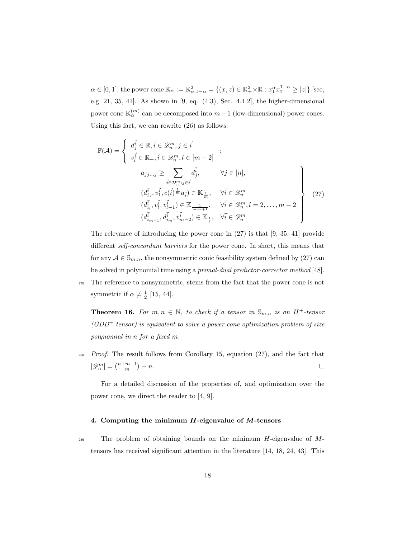$\alpha \in [0,1]$ , the power cone  $\mathbb{K}_{\alpha} := \mathbb{K}_{\alpha,1-\alpha}^2 = \{(x,z) \in \mathbb{R}_+^2 \times \mathbb{R} : x_1^{\alpha} x_2^{1-\alpha} \ge |z|\}$  [see, e.g. 21, 35, 41]. As shown in [9, eq. (4.3), Sec. 4.1.2], the higher-dimensional power cone  $\mathbb{K}_{\alpha}^{(m)}$  can be decomposed into  $m-1$  (low-dimensional) power cones. Using this fact, we can rewrite (26) as follows:

$$
\mathbb{F}(\mathcal{A}) = \begin{cases} d_j^{\vec{i}} \in \mathbb{R}, \vec{i} \in \mathcal{D}_n^m, j \in \vec{i} \\ v_l^{\vec{i}} \in \mathbb{R}_+, \vec{i} \in \mathcal{D}_n^m, l \in [m-2] \\ a_{jj...j} \ge \sum_{\vec{i} \in \mathcal{D}_n^m : j \in \vec{i}} d_j^{\vec{i}}, \qquad \forall j \in [n], \\ (d_{i_1}^{\vec{i}}, v_1^{\vec{i}}, c(\vec{i}) \stackrel{\dagger}{m} a_{\vec{i}}) \in \mathbb{K}_{\frac{1}{m}}, \qquad \forall \vec{i} \in \mathcal{D}_n^m \\ (d_{i_1}^{\vec{i}}, v_l^{\vec{i}}, v_{l-1}^{\vec{i}}) \in \mathbb{K}_{\frac{1}{m-l+1}}, \qquad \forall \vec{i} \in \mathcal{D}_n^m, l = 2, \dots, m-2 \\ (d_{i_{m-1}}^{\vec{i}}, d_{i_m}^{\vec{i}}, v_{m-2}^{\vec{i}}) \in \mathbb{K}_{\frac{1}{2}}, \quad \forall \vec{i} \in \mathcal{D}_n^m \end{cases}
$$
(27)

The relevance of introducing the power cone in (27) is that [9, 35, 41] provide different self-concordant barriers for the power cone. In short, this means that for any  $A \in \mathbb{S}_{m,n}$ , the nonsymmetric conic feasibility system defined by (27) can be solved in polynomial time using a primal-dual predictor-corrector method [48].

<sup>275</sup> The reference to nonsymmetric, stems from the fact that the power cone is not symmetric if  $\alpha \neq \frac{1}{2}$  [15, 44].

**Theorem 16.** For  $m, n \in \mathbb{N}$ , to check if a tensor in  $\mathbb{S}_{m,n}$  is an  $H^+$ -tensor  $(GDD<sup>+</sup> tensor)$  is equivalent to solve a power cone optimization problem of size polynomial in n for a fixed m.

 $280$  Proof. The result follows from Corollary 15, equation (27), and the fact that  $|\mathscr{D}_n^m| = \binom{n+m-1}{m} - n.$  $\Box$ 

For a detailed discussion of the properties of, and optimization over the power cone, we direct the reader to [4, 9].

### 4. Computing the minimum  $H$ -eigenvalue of  $M$ -tensors

<sup>285</sup> The problem of obtaining bounds on the minimum  $H$ -eigenvalue of  $M$ tensors has received significant attention in the literature [14, 18, 24, 43]. This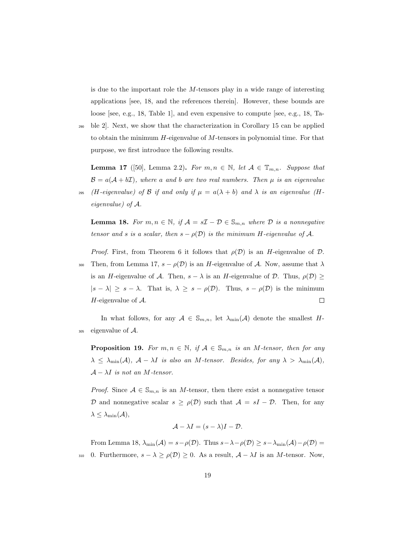is due to the important role the  $M$ -tensors play in a wide range of interesting applications [see, 18, and the references therein]. However, these bounds are loose [see, e.g., 18, Table 1], and even expensive to compute [see, e.g., 18, Ta-

<sup>290</sup> ble 2]. Next, we show that the characterization in Corollary 15 can be applied to obtain the minimum  $H$ -eigenvalue of  $M$ -tensors in polynomial time. For that purpose, we first introduce the following results.

**Lemma 17** ([50], Lemma 2.2). For  $m, n \in \mathbb{N}$ , let  $A \in \mathbb{T}_{m,n}$ . Suppose that  $\mathcal{B} = a(\mathcal{A} + b\mathcal{I})$ , where a and b are two real numbers. Then  $\mu$  is an eigenvalue

295 (H-eigenvalue) of B if and only if  $\mu = a(\lambda + b)$  and  $\lambda$  is an eigenvalue (Heigenvalue) of A.

**Lemma 18.** For  $m, n \in \mathbb{N}$ , if  $\mathcal{A} = s\mathcal{I} - \mathcal{D} \in \mathbb{S}_{m,n}$  where  $\mathcal{D}$  is a nonnegative tensor and s is a scalar, then  $s - \rho(\mathcal{D})$  is the minimum H-eigenvalue of A.

*Proof.* First, from Theorem 6 it follows that  $\rho(\mathcal{D})$  is an H-eigenvalue of  $\mathcal{D}$ .

300 Then, from Lemma 17,  $s - \rho(\mathcal{D})$  is an H-eigenvalue of A. Now, assume that  $\lambda$ is an H-eigenvalue of A. Then,  $s - \lambda$  is an H-eigenvalue of D. Thus,  $\rho(\mathcal{D}) \ge$  $|s - \lambda| \geq s - \lambda$ . That is,  $\lambda \geq s - \rho(\mathcal{D})$ . Thus,  $s - \rho(\mathcal{D})$  is the minimum H-eigenvalue of  $A$ .  $\Box$ 

In what follows, for any  $A \in \mathbb{S}_{m,n}$ , let  $\lambda_{\min}(\mathcal{A})$  denote the smallest H- $305$  eigenvalue of  $\mathcal{A}$ .

**Proposition 19.** For  $m, n \in \mathbb{N}$ , if  $A \in \mathbb{S}_{m,n}$  is an M-tensor, then for any  $\lambda \leq \lambda_{\min}(\mathcal{A}), \ \mathcal{A} - \lambda I$  is also an M-tensor. Besides, for any  $\lambda > \lambda_{\min}(\mathcal{A}),$  $\mathcal{A} - \lambda I$  is not an M-tensor.

*Proof.* Since  $A \in \mathbb{S}_{m,n}$  is an M-tensor, then there exist a nonnegative tensor D and nonnegative scalar  $s \geq \rho(\mathcal{D})$  such that  $\mathcal{A} = sI - \mathcal{D}$ . Then, for any  $\lambda \leq \lambda_{\min}(\mathcal{A}),$ 

$$
\mathcal{A} - \lambda I = (s - \lambda)I - \mathcal{D}.
$$

From Lemma 18,  $\lambda_{\min}(\mathcal{A}) = s - \rho(\mathcal{D})$ . Thus  $s - \lambda - \rho(\mathcal{D}) \geq s - \lambda_{\min}(\mathcal{A}) - \rho(\mathcal{D}) =$ 310 0. Furthermore,  $s - \lambda \ge \rho(\mathcal{D}) \ge 0$ . As a result,  $\mathcal{A} - \lambda I$  is an M-tensor. Now,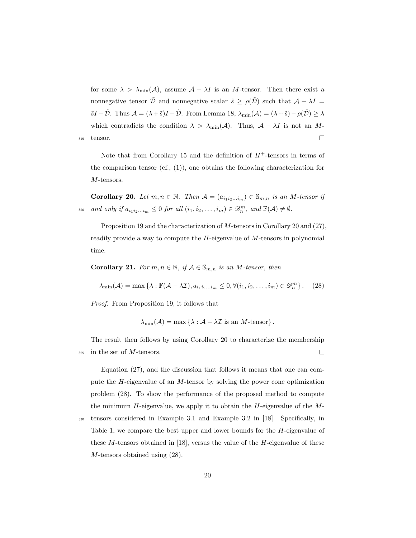for some  $\lambda > \lambda_{\min}(\mathcal{A})$ , assume  $\mathcal{A} - \lambda I$  is an M-tensor. Then there exist a nonnegative tensor  $\tilde{\mathcal{D}}$  and nonnegative scalar  $\tilde{s} \ge \rho(\tilde{\mathcal{D}})$  such that  $\mathcal{A} - \lambda I =$  $\tilde{s}I - \tilde{\mathcal{D}}$ . Thus  $\mathcal{A} = (\lambda + \tilde{s})I - \tilde{\mathcal{D}}$ . From Lemma 18,  $\lambda_{\min}(\mathcal{A}) = (\lambda + \tilde{s}) - \rho(\tilde{\mathcal{D}}) \ge \lambda$ which contradicts the condition  $\lambda > \lambda_{\min}(\mathcal{A})$ . Thus,  $\mathcal{A} - \lambda I$  is not an M-<sup>315</sup> tensor.  $\Box$ 

Note that from Corollary 15 and the definition of  $H^+$ -tensors in terms of the comparison tensor  $(cf, (1))$ , one obtains the following characterization for M-tensors.

Corollary 20. Let  $m, n \in \mathbb{N}$ . Then  $\mathcal{A} = (a_{i_1 i_2 \dots i_m}) \in \mathbb{S}_{m,n}$  is an M-tensor if 320 and only if  $a_{i_1i_2...i_m} \leq 0$  for all  $(i_1, i_2,..., i_m) \in \mathscr{D}_n^m$ , and  $\mathbb{F}(\mathcal{A}) \neq \emptyset$ .

Proposition 19 and the characterization of M-tensors in Corollary 20 and (27), readily provide a way to compute the H-eigenvalue of M-tensors in polynomial time.

**Corollary 21.** For  $m, n \in \mathbb{N}$ , if  $A \in \mathbb{S}_{m,n}$  is an M-tensor, then

$$
\lambda_{\min}(\mathcal{A}) = \max \left\{ \lambda : \mathbb{F}(\mathcal{A} - \lambda \mathcal{I}), a_{i_1 i_2 \dots i_m} \leq 0, \forall (i_1, i_2, \dots, i_m) \in \mathcal{D}_n^m \right\}. \tag{28}
$$

Proof. From Proposition 19, it follows that

$$
\lambda_{\min}(\mathcal{A}) = \max \left\{ \lambda : \mathcal{A} - \lambda \mathcal{I} \text{ is an } M \text{-tensor} \right\}.
$$

The result then follows by using Corollary 20 to characterize the membership  $325$  in the set of *M*-tensors.  $\Box$ 

Equation (27), and the discussion that follows it means that one can compute the H-eigenvalue of an M-tensor by solving the power cone optimization problem (28). To show the performance of the proposed method to compute the minimum  $H$ -eigenvalue, we apply it to obtain the  $H$ -eigenvalue of the  $M$ -<sup>330</sup> tensors considered in Example 3.1 and Example 3.2 in [18]. Specifically, in Table 1, we compare the best upper and lower bounds for the H-eigenvalue of these M-tensors obtained in [18], versus the value of the H-eigenvalue of these M-tensors obtained using (28).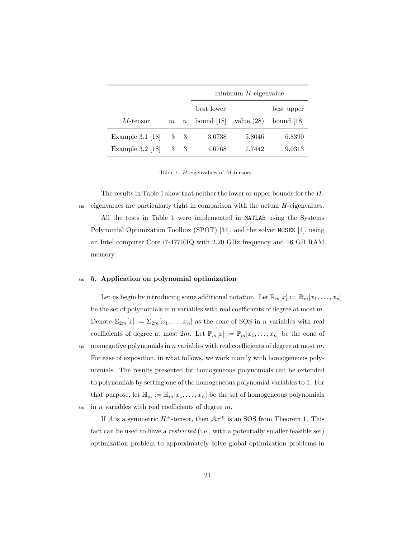|                    |             |                  | $minimum$ $H$ -eigenvalue |              |              |  |
|--------------------|-------------|------------------|---------------------------|--------------|--------------|--|
|                    |             |                  | best lower                |              | best upper   |  |
| $M$ -tensor        | $m_{\cdot}$ | $\boldsymbol{n}$ | bound $[18]$              | value $(28)$ | bound $ 18 $ |  |
| Example $3.1$ [18] | 3           | -3               | 3.0738                    | 5.8046       | 6.8390       |  |
| Example $3.2$ [18] | 3           | 3                | 4.0768                    | 7.7442       | 9.0313       |  |

Table 1: H-eigenvalues of M-tensors.

The results in Table 1 show that neither the lower or upper bounds for the H-335 eigenvalues are particularly tight in comparison with the actual H-eigenvalues.

All the tests in Table 1 were implemented in MATLAB using the Systems Polynomial Optimization Toolbox (SPOT) [34], and the solver MOSEK [4], using an Intel computer Core i7-4770HQ with 2.20 GHz frequency and 16 GB RAM memory.

#### <sup>340</sup> 5. Application on polynomial optimization

Let us begin by introducing some additional notation. Let  $\mathbb{R}_m[x] := \mathbb{R}_m[x_1, \ldots, x_n]$ be the set of polynomials in  $n$  variables with real coefficients of degree at most  $m$ . Denote  $\Sigma_{2m}[x] := \Sigma_{2m}[x_1,\ldots,x_n]$  as the cone of SOS in *n* variables with real coefficients of degree at most  $2m$ . Let  $\mathbb{P}_m[x] := \mathbb{P}_m[x_1, \ldots, x_n]$  be the cone of 345 nonnegative polynomials in n variables with real coefficients of degree at most m. For ease of exposition, in what follows, we work mainly with homogeneous polynomials. The results presented for homogeneous polynomials can be extended to polynomials by setting one of the homogeneous polynomial variables to 1. For that purpose, let  $\mathbb{H}_m := \mathbb{H}_m[x_1, \ldots, x_n]$  be the set of homogeneous polynomials  $350$  in *n* variables with real coefficients of degree  $m$ .

If A is a symmetric  $H^+$ -tensor, then  $Ax^m$  is an SOS from Theorem 1. This fact can be used to have a *restricted* (i.e., with a potentially smaller feasible set) optimization problem to approximately solve global optimization problems in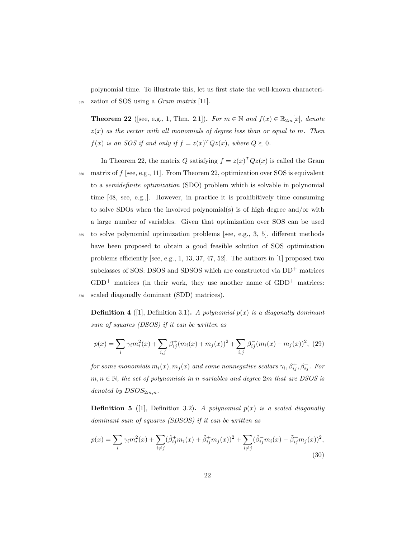polynomial time. To illustrate this, let us first state the well-known characteri-<sup>355</sup> zation of SOS using a Gram matrix [11].

**Theorem 22** ([see, e.g., 1, Thm. 2.1]). For  $m \in \mathbb{N}$  and  $f(x) \in \mathbb{R}_{2m}[x]$ , denote  $z(x)$  as the vector with all monomials of degree less than or equal to m. Then  $f(x)$  is an SOS if and only if  $f = z(x)^T Q z(x)$ , where  $Q \succeq 0$ .

In Theorem 22, the matrix Q satisfying  $f = z(x)^T Q z(x)$  is called the Gram  $360$  matrix of  $f$  [see, e.g., 11]. From Theorem 22, optimization over SOS is equivalent to a semidefinite optimization (SDO) problem which is solvable in polynomial time [48, see, e.g.,]. However, in practice it is prohibitively time consuming to solve SDOs when the involved polynomial(s) is of high degree and/or with a large number of variables. Given that optimization over SOS can be used

<sup>365</sup> to solve polynomial optimization problems [see, e.g., 3, 5], different methods have been proposed to obtain a good feasible solution of SOS optimization problems efficiently [see, e.g., 1, 13, 37, 47, 52]. The authors in [1] proposed two subclasses of SOS: DSOS and SDSOS which are constructed via  $DD^+$  matrices  $GDD^+$  matrices (in their work, they use another name of  $GDD^+$  matrices: <sup>370</sup> scaled diagonally dominant (SDD) matrices).

**Definition 4** ([1], Definition 3.1). A polynomial  $p(x)$  is a diagonally dominant sum of squares (DSOS) if it can be written as

$$
p(x) = \sum_{i} \gamma_i m_i^2(x) + \sum_{i,j} \beta_{ij}^+(m_i(x) + m_j(x))^2 + \sum_{i,j} \beta_{ij}^-(m_i(x) - m_j(x))^2, \tag{29}
$$

for some monomials  $m_i(x), m_j(x)$  and some nonnegative scalars  $\gamma_i, \beta_{ij}^+, \beta_{ij}^-$  . For  $m, n \in \mathbb{N}$ , the set of polynomials in n variables and degree 2m that are DSOS is denoted by  $DSOS_{2m,n}$ .

**Definition 5** (1), Definition 3.2). A polynomial  $p(x)$  is a scaled diagonally dominant sum of squares (SDSOS) if it can be written as

$$
p(x) = \sum_{i} \gamma_i m_i^2(x) + \sum_{i \neq j} (\hat{\beta}_{ij}^+ m_i(x) + \tilde{\beta}_{ij}^+ m_j(x))^2 + \sum_{i \neq j} (\hat{\beta}_{ij}^- m_i(x) - \tilde{\beta}_{ij}^+ m_j(x))^2,
$$
\n(30)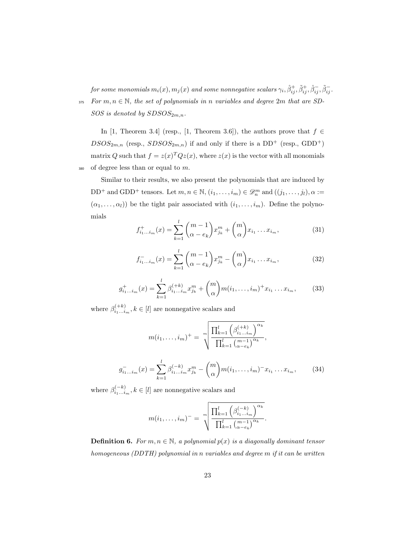for some monomials  $m_i(x),m_j(x)$  and some nonnegative scalars  $\gamma_i, \hat \beta_{ij}^+, \tilde \beta_{ij}^+, \hat \beta_{ij}^-, \tilde \beta_{ij}^-$ 375 For  $m, n \in \mathbb{N}$ , the set of polynomials in n variables and degree 2m that are SD-

 $SOS$  is denoted by  $SDSOS_{2m,n}$ .

In [1, Theorem 3.4] (resp., [1, Theorem 3.6]), the authors prove that  $f \in$  $DSOS_{2m,n}$  (resp.,  $SDSOS_{2m,n}$ ) if and only if there is a  $DD^+$  (resp.,  $GDD^+$ ) matrix Q such that  $f = z(x)^T Q z(x)$ , where  $z(x)$  is the vector with all monomials  $380$  of degree less than or equal to m.

Similar to their results, we also present the polynomials that are induced by DD<sup>+</sup> and GDD<sup>+</sup> tensors. Let  $m, n \in \mathbb{N}, (i_1, \ldots, i_m) \in \mathcal{D}_n^m$  and  $((j_1, \ldots, j_l), \alpha :=$  $(\alpha_1, \ldots, \alpha_l)$ ) be the tight pair associated with  $(i_1, \ldots, i_m)$ . Define the polynomials

$$
f_{i_1...i_m}^+(x) = \sum_{k=1}^l \binom{m-1}{\alpha - e_k} x_{j_k}^m + \binom{m}{\alpha} x_{i_1} \dots x_{i_m},
$$
(31)

$$
f_{i_1...i_m}^-(x) = \sum_{k=1}^l \binom{m-1}{\alpha - e_k} x_{j_k}^m - \binom{m}{\alpha} x_{i_1} \dots x_{i_m},
$$
 (32)

$$
g_{i_1...i_m}^+(x) = \sum_{k=1}^l \beta_{i_1...i_m}^{(+k)} x_{j_k}^m + {m \choose \alpha} m(i_1,...,i_m)^+ x_{i_1}...x_{i_m},
$$
 (33)

where  $\beta_{i_1...i_m}^{(+k)}, k \in [l]$  are nonnegative scalars and

$$
m(i_1, \dots, i_m)^+ = \sqrt[m]{\frac{\prod_{k=1}^l \left(\beta_{i_1 \dots i_m}^{(+k)}\right)^{\alpha_k}}{\prod_{k=1}^l \left(\frac{m-1}{\alpha - e_k}\right)^{\alpha_k}}},
$$

$$
g_{i_1 \dots i_m}^-(x) = \sum_{k=1}^l \beta_{i_1 \dots i_m}^{(-k)} x_{j_k}^m - \binom{m}{\alpha} m(i_1, \dots, i_m)^- x_{i_1} \dots x_{i_m},
$$
(34)

where  $\beta_{i_1...i_m}^{(-k)}, k \in [l]$  are nonnegative scalars and

$$
m(i_1, \ldots, i_m)^{-} = \sqrt[m]{\frac{\prod_{k=1}^{l} \left(\beta_{i_1 \ldots i_m}^{(-k)}\right)^{\alpha_k}}{\prod_{k=1}^{l} {m-1 \choose \alpha - e_k}^{\alpha_k}}}.
$$

**Definition 6.** For  $m, n \in \mathbb{N}$ , a polynomial  $p(x)$  is a diagonally dominant tensor homogeneous (DDTH) polynomial in n variables and degree m if it can be written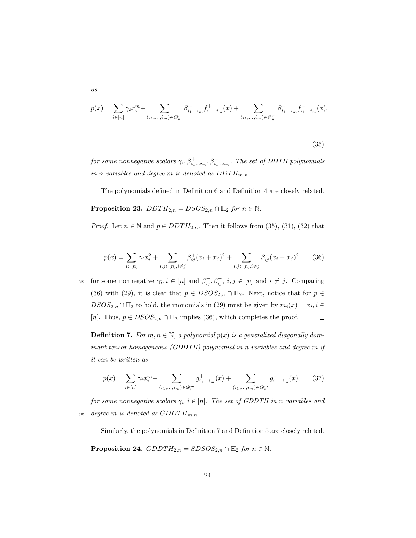$$
p(x)=\sum_{i\in[n]}\gamma_ix_i^m+\sum_{(i_1,\ldots,i_m)\in\mathscr{D}_n^m}\beta_{i_1\ldots i_m}^+f_{i_1\ldots i_m}^+(x)+\sum_{(i_1,\ldots,i_m)\in\mathscr{D}_n^m}\beta_{i_1\ldots i_m}^-f_{i_1\ldots i_m}^-(x),
$$

$$
(35)
$$

for some nonnegative scalars  $\gamma_i, \beta_{i_1...i_m}^+, \beta_{i_1...i_m}^-$ . The set of DDTH polynomials in n variables and degree m is denoted as  $DDTH_{m,n}$ .

The polynomials defined in Definition 6 and Definition 4 are closely related.

**Proposition 23.**  $DDTH_{2,n} = DSOS_{2,n} \cap \mathbb{H}_2$  for  $n \in \mathbb{N}$ .

as

*Proof.* Let  $n \in \mathbb{N}$  and  $p \in DDTH_{2,n}$ . Then it follows from (35), (31), (32) that

$$
p(x) = \sum_{i \in [n]} \gamma_i x_i^2 + \sum_{i,j \in [n], i \neq j} \beta_{ij}^+(x_i + x_j)^2 + \sum_{i,j \in [n], i \neq j} \beta_{ij}^-(x_i - x_j)^2 \tag{36}
$$

<sup>385</sup> for some nonnegative  $\gamma_i, i \in [n]$  and  $\beta_{ij}^+, \beta_{ij}^-, i, j \in [n]$  and  $i \neq j$ . Comparing (36) with (29), it is clear that  $p \in DSOS_{2,n} \cap \mathbb{H}_2$ . Next, notice that for  $p \in$  $DSOS_{2,n} \cap \mathbb{H}_2$  to hold, the monomials in (29) must be given by  $m_i(x) = x_i, i \in$ [n]. Thus,  $p \in D SOS_{2,n} \cap \mathbb{H}_2$  implies (36), which completes the proof.  $\Box$ 

**Definition 7.** For  $m, n \in \mathbb{N}$ , a polynomial  $p(x)$  is a generalized diagonally dominant tensor homogeneous (GDDTH) polynomial in n variables and degree m if it can be written as

$$
p(x) = \sum_{i \in [n]} \gamma_i x_i^m + \sum_{(i_1, \dots, i_m) \in \mathcal{D}_n^m} g_{i_1 \dots i_m}^+(x) + \sum_{(i_1, \dots, i_m) \in \mathcal{D}_n^m} g_{i_1 \dots i_m}^-(x), \qquad (37)
$$

for some nonnegative scalars  $\gamma_i, i \in [n]$ . The set of GDDTH in n variables and 390 degree m is denoted as  $GDDTH_{m,n}$ .

Similarly, the polynomials in Definition 7 and Definition 5 are closely related.

**Proposition 24.**  $GDDTH_{2,n} = SDSOS_{2,n} \cap \mathbb{H}_2$  for  $n \in \mathbb{N}$ .

24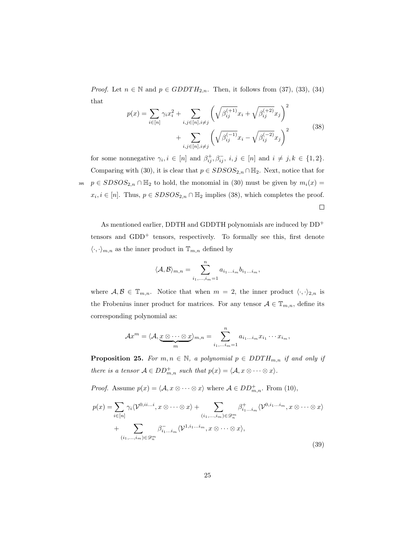*Proof.* Let  $n \in \mathbb{N}$  and  $p \in GDDTH_{2,n}$ . Then, it follows from (37), (33), (34) that

$$
p(x) = \sum_{i \in [n]} \gamma_i x_i^2 + \sum_{i,j \in [n], i \neq j} \left( \sqrt{\beta_{ij}^{(+1)}} x_i + \sqrt{\beta_{ij}^{(+2)}} x_j \right)^2 + \sum_{i,j \in [n], i \neq j} \left( \sqrt{\beta_{ij}^{(-1)}} x_i - \sqrt{\beta_{ij}^{(-2)}} x_j \right)^2
$$
(38)

for some nonnegative  $\gamma_i, i \in [n]$  and  $\beta_{ij}^+, \beta_{ij}^-, i, j \in [n]$  and  $i \neq j, k \in \{1, 2\}.$ Comparing with (30), it is clear that  $p \in SDSOS_{2,n} \cap \mathbb{H}_2$ . Next, notice that for 395  $p \in SDSOS_{2,n} \cap \mathbb{H}_2$  to hold, the monomial in (30) must be given by  $m_i(x) =$  $x_i, i \in [n]$ . Thus,  $p \in SDSOS_{2,n} \cap \mathbb{H}_2$  implies (38), which completes the proof.  $\Box$ 

As mentioned earlier, DDTH and GDDTH polynomials are induced by DD<sup>+</sup> tensors and  $GDD^+$  tensors, respectively. To formally see this, first denote  $\langle \cdot, \cdot \rangle_{m,n}$  as the inner product in  $\mathbb{T}_{m,n}$  defined by

$$
\langle A, B \rangle_{m,n} = \sum_{i_1, \dots, i_m=1}^n a_{i_1 \dots i_m} b_{i_1 \dots i_m},
$$

where  $A, B \in \mathbb{T}_{m,n}$ . Notice that when  $m = 2$ , the inner product  $\langle \cdot, \cdot \rangle_{2,n}$  is the Frobenius inner product for matrices. For any tensor  $A \in \mathbb{T}_{m,n}$ , define its corresponding polynomial as:

$$
\mathcal{A}x^m = \langle \mathcal{A}, \underbrace{x \otimes \cdots \otimes x}_{m} \rangle_{m,n} = \sum_{i_1, \ldots, i_m = 1}^{n} a_{i_1 \ldots i_m} x_{i_1} \cdots x_{i_m},
$$

**Proposition 25.** For  $m, n \in \mathbb{N}$ , a polynomial  $p \in DDTH_{m,n}$  if and only if there is a tensor  $A \in DD_{m,n}^+$  such that  $p(x) = \langle A, x \otimes \cdots \otimes x \rangle$ .

*Proof.* Assume  $p(x) = \langle A, x \otimes \cdots \otimes x \rangle$  where  $A \in DD_{m,n}^+$ . From (10),

$$
p(x) = \sum_{i \in [n]} \gamma_i \langle \mathcal{V}^{0, ii...i}, x \otimes \cdots \otimes x \rangle + \sum_{(i_1, \ldots, i_m) \in \mathcal{D}_n^m} \beta_{i_1 \ldots i_m}^+ \langle \mathcal{V}^{0, i_1 \ldots i_m}, x \otimes \cdots \otimes x \rangle
$$
  
+ 
$$
\sum_{(i_1, \ldots, i_m) \in \mathcal{D}_n^m} \beta_{i_1 \ldots i_m}^- \langle \mathcal{V}^{1, i_1 \ldots i_m}, x \otimes \cdots \otimes x \rangle,
$$
 (39)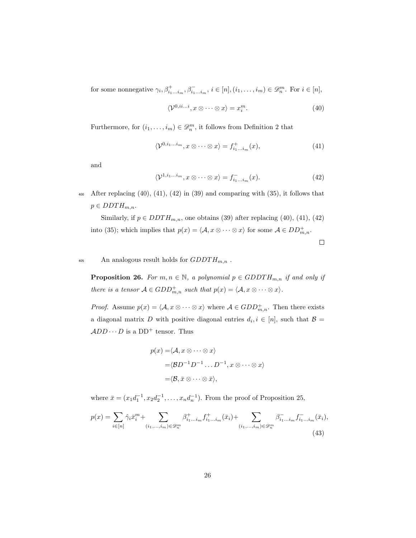for some nonnegative  $\gamma_i, \beta^+_{i_1...i_m}, \beta^-_{i_1...i_m}, i \in [n], (i_1,...,i_m) \in \mathscr{D}_n^m$ . For  $i \in [n]$ ,

$$
\langle \mathcal{V}^{0,ii...i}, x \otimes \cdots \otimes x \rangle = x_i^m. \tag{40}
$$

Furthermore, for  $(i_1, \ldots, i_m) \in \mathcal{D}_n^m$ , it follows from Definition 2 that

$$
\langle \mathcal{V}^{0,i_1...i_m}, x \otimes \cdots \otimes x \rangle = f^+_{i_1...i_m}(x), \tag{41}
$$

and

$$
\langle \mathcal{V}^{1,i_1...i_m}, x \otimes \cdots \otimes x \rangle = f_{i_1...i_m}^-(x). \tag{42}
$$

400 After replacing  $(40)$ ,  $(41)$ ,  $(42)$  in  $(39)$  and comparing with  $(35)$ , it follows that  $p \in DDTH_{m,n}.$ 

Similarly, if  $p \in DDTH_{m,n}$ , one obtains (39) after replacing (40), (41), (42) into (35); which implies that  $p(x) = \langle A, x \otimes \cdots \otimes x \rangle$  for some  $A \in DD_{m,n}^+$ .

<sup>405</sup> An analogous result holds for  $GDDTH_{m,n}$ .

**Proposition 26.** For  $m, n \in \mathbb{N}$ , a polynomial  $p \in GDDTH_{m,n}$  if and only if there is a tensor  $A \in GDD^+_{m,n}$  such that  $p(x) = \langle A, x \otimes \cdots \otimes x \rangle$ .

*Proof.* Assume  $p(x) = \langle A, x \otimes \cdots \otimes x \rangle$  where  $A \in GDD_{m,n}^+$ . Then there exists a diagonal matrix D with positive diagonal entries  $d_i, i \in [n]$ , such that  $\mathcal{B} =$  $ADD \cdots D$  is a  $DD^+$  tensor. Thus

$$
p(x) = \langle A, x \otimes \cdots \otimes x \rangle
$$
  
=\langle BD^{-1}D^{-1} \dots D^{-1}, x \otimes \cdots \otimes x \rangle  
=\langle B, \bar{x} \otimes \cdots \otimes \bar{x} \rangle,

where  $\bar{x} = (x_1 d_1^{-1}, x_2 d_2^{-1}, \dots, x_n d_n^{-1})$ . From the proof of Proposition 25,

$$
p(x) = \sum_{i \in [n]} \hat{\gamma}_i \bar{x}_i^m + \sum_{(i_1, \dots, i_m) \in \mathscr{D}_n^m} \beta_{i_1 \dots i_m}^+ f_{i_1 \dots i_m}^+( \bar{x}_i) + \sum_{(i_1, \dots, i_m) \in \mathscr{D}_n^m} \beta_{i_1 \dots i_m}^- f_{i_1 \dots i_m}^-( \bar{x}_i),
$$
\n(43)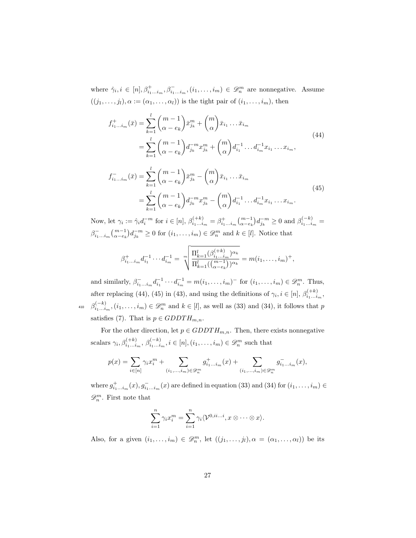where  $\hat{\gamma}_i, i \in [n], \beta_{i_1...i_m}^+, \beta_{i_1...i_m}^-, (i_1,...,i_m) \in \mathscr{D}_n^m$  are nonnegative. Assume  $((j_1, \ldots, j_l), \alpha := (\alpha_1, \ldots, \alpha_l))$  is the tight pair of  $(i_1, \ldots, i_m)$ , then

$$
f_{i_1...i_m}^+(\bar{x}) = \sum_{k=1}^l {m-1 \choose \alpha - e_k} \bar{x}_{j_k}^m + {m \choose \alpha} \bar{x}_{i_1} \dots \bar{x}_{i_m}
$$
  
\n
$$
= \sum_{k=1}^l {m-1 \choose \alpha - e_k} d_{j_k}^{-m} x_{j_k}^m + {m \choose \alpha} d_{i_1}^{-1} \dots d_{i_m}^{-1} x_{i_1} \dots x_{i_m},
$$
  
\n
$$
f_{i_1...i_m}^-(\bar{x}) = \sum_{k=1}^l {m-1 \choose \alpha - e_k} \bar{x}_{j_k}^m - {m \choose \alpha} \bar{x}_{i_1} \dots \bar{x}_{i_m}
$$
  
\n
$$
= \sum_{k=1}^l {m-1 \choose \alpha - e_k} d_{j_k}^{-m} x_{j_k}^m - {m \choose \alpha} d_{i_1}^{-1} \dots d_{i_m}^{-1} x_{i_1} \dots x_{i_m}.
$$
  
\n(45)

Now, let  $\gamma_i := \hat{\gamma}_i d_i^{-m}$  for  $i \in [n]$ ,  $\beta_{i_1...i_m}^{(+k)} = \beta_{i_1...i_m}^{+} {m-1 \choose \alpha - e_k} d_{j_k}^{-m} \ge 0$  and  $\beta_{i_1...i_m}^{(-k)} =$  $\beta_{i_1...i_m}^{-}(m-1)_{\alpha-e_k}^{-m} d_{j_k}^{-m} \ge 0$  for  $(i_1,...,i_m) \in \mathscr{D}_n^m$  and  $k \in [l]$ . Notice that

$$
\beta_{i_1...i_m}^+ d_{i_1}^{-1} \cdots d_{i_m}^{-1} = \sqrt[m]{\frac{\Pi_{k=1}^l (\beta_{i_1...i_m}^{(+k)})^{\alpha_k}}{\Pi_{k=1}^l (\binom{m-1}{\alpha-e_k})^{\alpha_k}}} = m(i_1,...,i_m)^+,
$$

and similarly,  $\beta_{i_1...i_m}^{-1} d_{i_1}^{-1} \cdots d_{i_m}^{-1} = m(i_1,...,i_m)^-$  for  $(i_1,...,i_m) \in \mathscr{D}_n^m$ . Thus, after replacing (44), (45) in (43), and using the definitions of  $\gamma_i, i \in [n], \beta_{i_1...i_m}^{(+k)}$ , <sup>410</sup>  $\beta_{i_1...i_m}^{(-k)}$ ,  $(i_1,...,i_m) \in \mathscr{D}_n^m$  and  $k \in [l]$ , as well as (33) and (34), it follows that p satisfies (7). That is  $p \in GDDTH_{m,n}$ .

For the other direction, let  $p \in GDDTH_{m,n}$ . Then, there exists nonnegative scalars  $\gamma_i, \beta_{i_1...i_m}^{(+k)}, \beta_{i_1...i_m}^{(-k)}, i \in [n], (i_1, \ldots, i_m) \in \mathscr{D}_n^m$  such that

$$
p(x)=\sum_{i\in [n]}\gamma_ix_i^m+\sum_{(i_1,...,i_m)\in \mathscr{D}_n^m}g^+_{i_1...i_m}(x)+\sum_{(i_1,...,i_m)\in \mathscr{D}_n^m}g^-_{i_1...i_m}(x),
$$

where  $g_{i_1...i_m}^+(x), g_{i_1...i_m}^-(x)$  are defined in equation (33) and (34) for  $(i_1,...,i_m) \in$  $\mathscr{D}_{n}^{m}.$  First note that

$$
\sum_{i=1}^n \gamma_i x_i^m = \sum_{i=1}^n \gamma_i \langle \mathcal{V}^{0,ii...i}, x \otimes \cdots \otimes x \rangle.
$$

Also, for a given  $(i_1, \ldots, i_m) \in \mathcal{D}_n^m$ , let  $((j_1, \ldots, j_l), \alpha = (\alpha_1, \ldots, \alpha_l))$  be its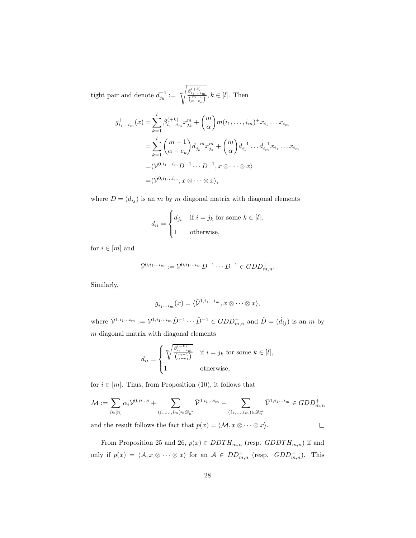tight pair and denote  $d_{j_k}^{-1} := \gamma^m$  $\sqrt[m]{\frac{\beta_{i_1...i_m}^{(+k)}}{\binom{m-1}{\alpha-e_k}}}, k \in [l].$  Then

$$
g_{i_1...i_m}^+(x) = \sum_{k=1}^l \beta_{i_1...i_m}^{(+k)} x_{j_k}^m + {m \choose \alpha} m(i_1,...,i_m)^+ x_{i_1}...x_{i_m}
$$
  

$$
= \sum_{k=1}^l {m-1 \choose \alpha - e_k} d_{j_k}^{-m} x_{j_k}^m + {m \choose \alpha} d_{i_1}^{-1}...d_{i_m}^{-1} x_{i_1}...x_{i_m}
$$
  

$$
= \langle \mathcal{V}^{0,i_1...i_m} \mathcal{D}^{-1} \cdots \mathcal{D}^{-1}, x \otimes \cdots \otimes x \rangle
$$
  

$$
= \langle \mathcal{V}^{0,i_1...i_m}, x \otimes \cdots \otimes x \rangle,
$$

where  $D = (d_{ij})$  is an m by m diagonal matrix with diagonal elements

$$
d_{ii} = \begin{cases} d_{j_k} & \text{if } i = j_k \text{ for some } k \in [l], \\ 1 & \text{otherwise,} \end{cases}
$$

for  $i \in [m]$  and

$$
\bar{\mathcal{V}}^{0,i_1...i_m}:=\mathcal{V}^{0,i_1...i_m}D^{-1}\cdot\cdot\cdot D^{-1}\in GDD^+_{m,n}.
$$

Similarly,

$$
g_{i_1...i_m}^-(x) = \langle \bar{\mathcal{V}}^{1,i_1...i_m}, x \otimes \cdots \otimes x \rangle,
$$

where  $\bar{V}^{1,i_1...i_m} := V^{1,i_1...i_m} \hat{D}^{-1} \cdots \hat{D}^{-1} \in GDD_{m,n}^+$  and  $\hat{D} = (\hat{d}_{ij})$  is an m by  $m$  diagonal matrix with diagonal elements

$$
d_{ii} = \begin{cases} \sqrt[m]{\frac{\beta_{i_1...i_m}^{(-k)}}{(m-1)}} & \text{if } i = j_k \text{ for some } k \in [l],\\ 1 & \text{otherwise}, \end{cases}
$$

for  $i \in [m]$ . Thus, from Proposition (10), it follows that

$$
\mathcal{M} := \sum_{i \in [n]} \alpha_i \mathcal{V}^{0, ii...i} + \sum_{(i_1, \dots, i_m) \in \mathscr{D}_n^m} \bar{\mathcal{V}}^{0, i_1 \dots i_m} + \sum_{(i_1, \dots, i_m) \in \mathscr{D}_n^m} \bar{\mathcal{V}}^{1, i_1 \dots i_m} \in GDD_{m,n}^+
$$

and the result follows the fact that  $p(x) = \langle \mathcal{M}, x \otimes \cdots \otimes x \rangle$ .  $\Box$ 

From Proposition 25 and 26,  $p(x) \in DDTH_{m,n}$  (resp.  $GDDTH_{m,n}$ ) if and only if  $p(x) = \langle A, x \otimes \cdots \otimes x \rangle$  for an  $A \in DD_{m,n}^+$  (resp.  $GDD_{m,n}^+$ ). This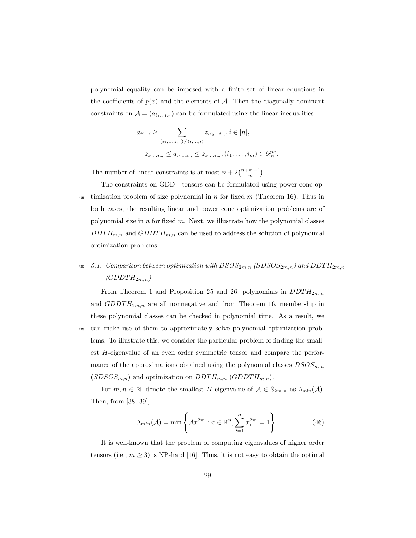polynomial equality can be imposed with a finite set of linear equations in the coefficients of  $p(x)$  and the elements of A. Then the diagonally dominant constraints on  $A = (a_{i_1...i_m})$  can be formulated using the linear inequalities:

$$
a_{ii...i} \geq \sum_{(i_2,...,i_m)\neq(i,...,i)} z_{ii_2...i_m}, i \in [n],
$$
  

$$
-z_{i_1...i_m} \leq a_{i_1...i_m} \leq z_{i_1...i_m}, (i_1,...,i_m) \in \mathcal{D}_n^m.
$$

The number of linear constraints is at most  $n + 2\binom{n+m-1}{m}$ .

The constraints on  $GDD^+$  tensors can be formulated using power cone op-<sup>415</sup> timization problem of size polynomial in n for fixed m (Theorem 16). Thus in both cases, the resulting linear and power cone optimization problems are of polynomial size in  $n$  for fixed  $m$ . Next, we illustrate how the polynomial classes  $DDTH_{m,n}$  and  $GDDTH_{m,n}$  can be used to address the solution of polynomial optimization problems.

## 420 5.1. Comparison between optimization with  $D SOS_{2m,n}$  (SDSOS $_{2m,n}$ ) and DDT $H_{2m,n}$  $(GDDTH_{2m,n})$

From Theorem 1 and Proposition 25 and 26, polynomials in  $DDTH_{2m,n}$ and  $GDDTH_{2m,n}$  are all nonnegative and from Theorem 16, membership in these polynomial classes can be checked in polynomial time. As a result, we <sup>425</sup> can make use of them to approximately solve polynomial optimization problems. To illustrate this, we consider the particular problem of finding the smallest H-eigenvalue of an even order symmetric tensor and compare the performance of the approximations obtained using the polynomial classes  $DSOS_{m,n}$  $(SD SOS_{m,n})$  and optimization on  $DDTH_{m,n}$  (GDDTH<sub>m,n</sub>).

For  $m, n \in \mathbb{N}$ , denote the smallest H-eigenvalue of  $\mathcal{A} \in \mathbb{S}_{2m,n}$  as  $\lambda_{\min}(\mathcal{A})$ . Then, from [38, 39],

$$
\lambda_{\min}(\mathcal{A}) = \min \left\{ \mathcal{A}x^{2m} : x \in \mathbb{R}^n, \sum_{i=1}^n x_i^{2m} = 1 \right\}.
$$
 (46)

It is well-known that the problem of computing eigenvalues of higher order tensors (i.e.,  $m \geq 3$ ) is NP-hard [16]. Thus, it is not easy to obtain the optimal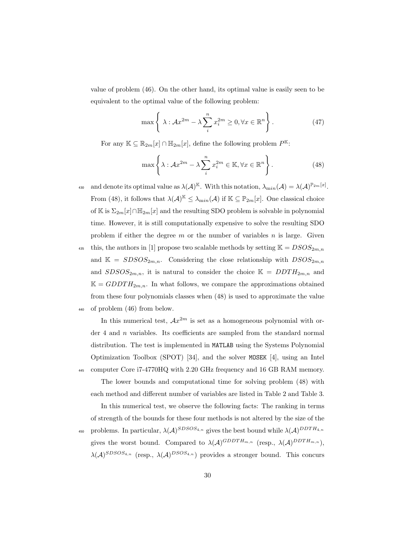value of problem (46). On the other hand, its optimal value is easily seen to be equivalent to the optimal value of the following problem:

$$
\max\left\{\lambda:\mathcal{A}x^{2m}-\lambda\sum_{i}^{n}x_{i}^{2m}\geq 0,\forall x\in\mathbb{R}^{n}\right\}.
$$
\n(47)

For any  $\mathbb{K} \subseteq \mathbb{R}_{2m}[x] \cap \mathbb{H}_{2m}[x]$ , define the following problem  $P^{\mathbb{K}}$ :

$$
\max\left\{\lambda:\mathcal{A}x^{2m}-\lambda\sum_{i}^{n}x_{i}^{2m}\in\mathbb{K},\forall x\in\mathbb{R}^{n}\right\}.
$$
\n(48)

as and denote its optimal value as  $\lambda(\mathcal{A})^{\mathbb{K}}$ . With this notation,  $\lambda_{\min}(\mathcal{A}) = \lambda(\mathcal{A})^{\mathbb{P}_{2m}[x]}$ . From (48), it follows that  $\lambda(A)^{\mathbb{K}} \leq \lambda_{\min}(A)$  if  $\mathbb{K} \subseteq \mathbb{P}_{2m}[x]$ . One classical choice of K is  $\Sigma_{2m}[x]\cap\mathbb{H}_{2m}[x]$  and the resulting SDO problem is solvable in polynomial time. However, it is still computationally expensive to solve the resulting SDO problem if either the degree  $m$  or the number of variables  $n$  is large. Given <sup>435</sup> this, the authors in [1] propose two scalable methods by setting  $\mathbb{K} = DSOS_{2m,n}$ 

and  $\mathbb{K} = SDSOS_{2m,n}$ . Considering the close relationship with  $DSOS_{2m,n}$ and  $SDSOS_{2m,n}$ , it is natural to consider the choice  $\mathbb{K} = DDTH_{2m,n}$  and  $\mathbb{K} = GDDTH_{2m,n}$ . In what follows, we compare the approximations obtained from these four polynomials classes when (48) is used to approximate the value <sup>440</sup> of problem (46) from below.

In this numerical test,  $Ax^{2m}$  is set as a homogeneous polynomial with order 4 and n variables. Its coefficients are sampled from the standard normal distribution. The test is implemented in MATLAB using the Systems Polynomial Optimization Toolbox (SPOT) [34], and the solver MOSEK [4], using an Intel <sup>445</sup> computer Core i7-4770HQ with 2.20 GHz frequency and 16 GB RAM memory.

The lower bounds and computational time for solving problem (48) with each method and different number of variables are listed in Table 2 and Table 3.

In this numerical test, we observe the following facts: The ranking in terms of strength of the bounds for these four methods is not altered by the size of the 450 problems. In particular,  $\lambda(A)^{SDSOS_{4,n}}$  gives the best bound while  $\lambda(A)^{DDTH_{4,n}}$ gives the worst bound. Compared to  $\lambda(\mathcal{A})^{GDDTH_{m,n}}$  (resp.,  $\lambda(\mathcal{A})^{DDTH_{m,n}}$ ),  $\lambda(\mathcal{A})^{SDSOS_{4,n}}$  (resp.,  $\lambda(\mathcal{A})^{DSOS_{4,n}}$ ) provides a stronger bound. This concurs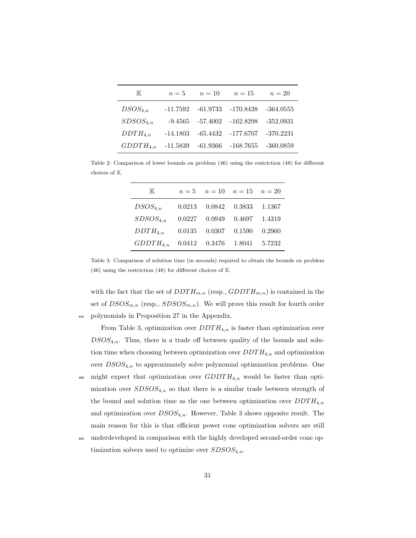| K             | $n=5$      | $n=10$     | $n=15$      | $n=20$      |
|---------------|------------|------------|-------------|-------------|
| $DSOS_{4,n}$  | $-11.7592$ | $-61.9733$ | -170.8438   | $-364.0555$ |
| $SDSOS_{4,n}$ | $-9.4565$  | $-57.4002$ | $-162.8298$ | $-352.0931$ |
| $DDTH_{4,n}$  | $-14.1803$ | $-65.4432$ | -177.6707   | $-370.2231$ |
| $GDDTH_{4,n}$ | $-11.5839$ | $-61.9366$ | $-168.7655$ | $-360.0859$ |

Table 2: Comparison of lower bounds on problem (46) using the restriction (48) for different choices of K.

| K             |        | $n=5$ $n=10$ $n=15$ $n=20$ |                   |        |
|---------------|--------|----------------------------|-------------------|--------|
| $DSOS_{4,n}$  | 0.0213 |                            | $0.0842$ 0.3833   | 1.1367 |
| $SDSOS_{4,n}$ | 0.0227 | 0.0949                     | 0.4697            | 1.4319 |
| $DDTH_{4,n}$  | 0.0135 |                            | $0.0307$ $0.1590$ | 0.2960 |
| $GDDTH_{4,n}$ | 0.0412 | 0.3476                     | 1.8041            | 5.7232 |

Table 3: Comparison of solution time (in seconds) required to obtain the bounds on problem (46) using the restriction (48) for different choices of K.

with the fact that the set of  $DDTH_{m,n}$  (resp.,  $GDDTH_{m,n}$ ) is contained in the set of  $DSOS_{m,n}$  (resp.,  $SDSOS_{m,n}$ ). We will prove this result for fourth order <sup>455</sup> polynomials in Proposition 27 in the Appendix.

From Table 3, optimization over  $DDTH_{4,n}$  is faster than optimization over  $DSOS_{4,n}$ . Thus, there is a trade off between quality of the bounds and solution time when choosing between optimization over  $DDTH_{4,n}$  and optimization over  $DSOS_{4,n}$  to approximately solve polynomial optimization problems. One

- $_{460}$  might expect that optimization over  $GDDTH_{4,n}$  would be faster than optimization over  $SDSOS_{4,n}$  so that there is a similar trade between strength of the bound and solution time as the one between optimization over  $DDTH_{4,n}$ and optimization over  $DSOS_{4,n}$ . However, Table 3 shows opposite result. The main reason for this is that efficient power cone optimization solvers are still
- <sup>465</sup> underdeveloped in comparison with the highly developed second-order cone optimization solvers used to optimize over  $SDSOS_{4,n}$ .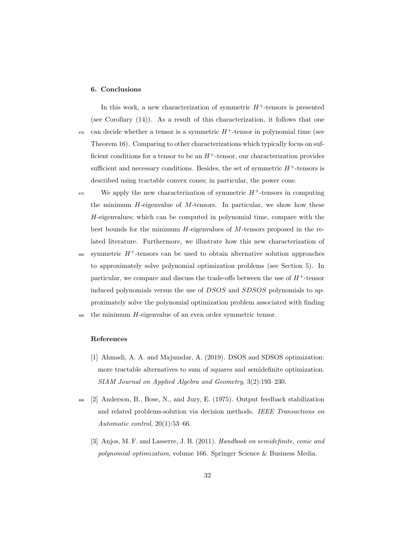#### 6. Conclusions

In this work, a new characterization of symmetric  $H^+$ -tensors is presented (see Corollary (14)). As a result of this characterization, it follows that one  $\alpha_{470}$  can decide whether a tensor is a symmetric  $H^+$ -tensor in polynomial time (see Theorem 16). Comparing to other characterizations which typically focus on sufficient conditions for a tensor to be an  $H^+$ -tensor, our characterization provides sufficient and necessary conditions. Besides, the set of symmetric  $H^+$ -tensors is described using tractable convex cones; in particular, the power cone.

<sup>475</sup> We apply the new characterization of symmetric  $H^+$ -tensors in computing the minimum  $H$ -eigenvalue of  $M$ -tensors. In particular, we show how these H-eigenvalues; which can be computed in polynomial time, compare with the best bounds for the minimum  $H$ -eigenvalues of  $M$ -tensors proposed in the related literature. Furthermore, we illustrate how this new characterization of

<sup>480</sup> symmetric  $H^+$ -tensors can be used to obtain alternative solution approaches to approximately solve polynomial optimization problems (see Section 5). In particular, we compare and discuss the trade-offs between the use of  $H^+$ -tensor induced polynomials versus the use of DSOS and SDSOS polynomials to approximately solve the polynomial optimization problem associated with finding

<sup>485</sup> the minimum H-eigenvalue of an even order symmetric tensor.

## References

- [1] Ahmadi, A. A. and Majumdar, A. (2019). DSOS and SDSOS optimization: more tractable alternatives to sum of squares and semidefinite optimization. SIAM Journal on Applied Algebra and Geometry, 3(2):193–230.
- <sup>490</sup> [2] Anderson, B., Bose, N., and Jury, E. (1975). Output feedback stabilization and related problems-solution via decision methods. IEEE Transactions on Automatic control, 20(1):53–66.
	- [3] Anjos, M. F. and Lasserre, J. B. (2011). Handbook on semidefinite, conic and polynomial optimization, volume 166. Springer Science & Business Media.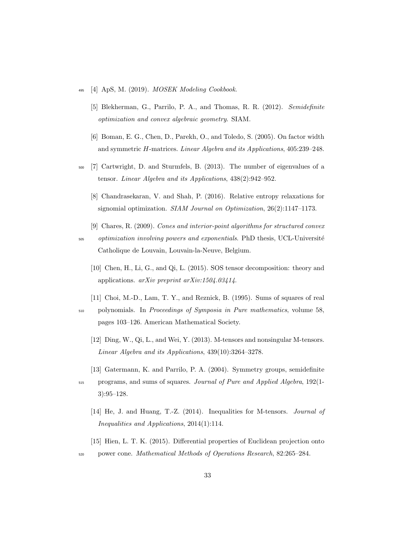- $495$  [4] ApS, M. (2019). MOSEK Modeling Cookbook.
	- [5] Blekherman, G., Parrilo, P. A., and Thomas, R. R. (2012). Semidefinite optimization and convex algebraic geometry. SIAM.
	- [6] Boman, E. G., Chen, D., Parekh, O., and Toledo, S. (2005). On factor width and symmetric H-matrices. Linear Algebra and its Applications, 405:239–248.
- <sup>500</sup> [7] Cartwright, D. and Sturmfels, B. (2013). The number of eigenvalues of a tensor. Linear Algebra and its Applications, 438(2):942–952.
	- [8] Chandrasekaran, V. and Shah, P. (2016). Relative entropy relaxations for signomial optimization. SIAM Journal on Optimization, 26(2):1147–1173.
	- [9] Chares, R. (2009). Cones and interior-point algorithms for structured convex

<sub>505</sub> optimization involving powers and exponentials. PhD thesis, UCL-Université Catholique de Louvain, Louvain-la-Neuve, Belgium.

- [10] Chen, H., Li, G., and Qi, L. (2015). SOS tensor decomposition: theory and applications. arXiv preprint arXiv:1504.03414.
- [11] Choi, M.-D., Lam, T. Y., and Reznick, B. (1995). Sums of squares of real
- <sup>510</sup> polynomials. In Proceedings of Symposia in Pure mathematics, volume 58, pages 103–126. American Mathematical Society.
	- [12] Ding, W., Qi, L., and Wei, Y. (2013). M-tensors and nonsingular M-tensors. Linear Algebra and its Applications, 439(10):3264–3278.
	- [13] Gatermann, K. and Parrilo, P. A. (2004). Symmetry groups, semidefinite
- <sup>515</sup> programs, and sums of squares. Journal of Pure and Applied Algebra, 192(1- 3):95–128.
	- [14] He, J. and Huang, T.-Z. (2014). Inequalities for M-tensors. *Journal of* Inequalities and Applications, 2014(1):114.
	- [15] Hien, L. T. K. (2015). Differential properties of Euclidean projection onto
- <sup>520</sup> power cone. Mathematical Methods of Operations Research, 82:265–284.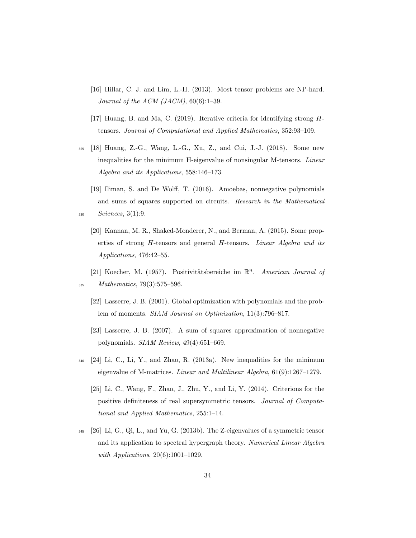- [16] Hillar, C. J. and Lim, L.-H. (2013). Most tensor problems are NP-hard. Journal of the ACM (JACM),  $60(6):1-39$ .
- [17] Huang, B. and Ma, C. (2019). Iterative criteria for identifying strong Htensors. Journal of Computational and Applied Mathematics, 352:93–109.
- <sup>525</sup> [18] Huang, Z.-G., Wang, L.-G., Xu, Z., and Cui, J.-J. (2018). Some new inequalities for the minimum H-eigenvalue of nonsingular M-tensors. Linear Algebra and its Applications, 558:146–173.
- [19] Iliman, S. and De Wolff, T. (2016). Amoebas, nonnegative polynomials and sums of squares supported on circuits. Research in the Mathematical <sup>530</sup> Sciences, 3(1):9.
	- [20] Kannan, M. R., Shaked-Monderer, N., and Berman, A. (2015). Some properties of strong H-tensors and general H-tensors. Linear Algebra and its Applications, 476:42–55.
- [21] Koecher, M. (1957). Positivitätsbereiche im  $\mathbb{R}^n$ . American Journal of <sup>535</sup> Mathematics, 79(3):575–596.
	- [22] Lasserre, J. B. (2001). Global optimization with polynomials and the problem of moments. SIAM Journal on Optimization, 11(3):796–817.
	- [23] Lasserre, J. B. (2007). A sum of squares approximation of nonnegative polynomials. SIAM Review, 49(4):651–669.
- $_{540}$  [24] Li, C., Li, Y., and Zhao, R. (2013a). New inequalities for the minimum eigenvalue of M-matrices. Linear and Multilinear Algebra, 61(9):1267–1279.
	- [25] Li, C., Wang, F., Zhao, J., Zhu, Y., and Li, Y. (2014). Criterions for the positive definiteness of real supersymmetric tensors. Journal of Computational and Applied Mathematics, 255:1–14.
- $545$  [26] Li, G., Qi, L., and Yu, G. (2013b). The Z-eigenvalues of a symmetric tensor and its application to spectral hypergraph theory. Numerical Linear Algebra with Applications, 20(6):1001-1029.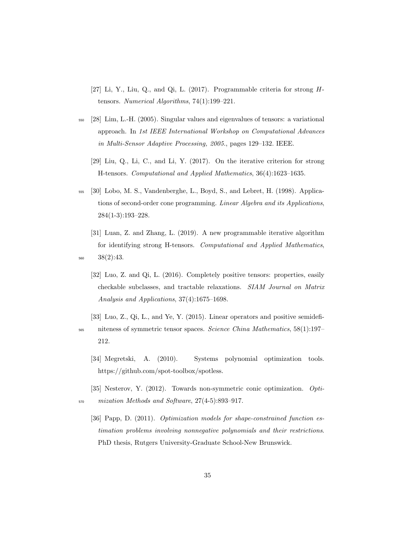- [27] Li, Y., Liu, Q., and Qi, L. (2017). Programmable criteria for strong Htensors. Numerical Algorithms, 74(1):199–221.
- <sup>550</sup> [28] Lim, L.-H. (2005). Singular values and eigenvalues of tensors: a variational approach. In 1st IEEE International Workshop on Computational Advances in Multi-Sensor Adaptive Processing, 2005., pages 129–132. IEEE.
	- [29] Liu, Q., Li, C., and Li, Y. (2017). On the iterative criterion for strong H-tensors. Computational and Applied Mathematics, 36(4):1623–1635.
- <sup>555</sup> [30] Lobo, M. S., Vandenberghe, L., Boyd, S., and Lebret, H. (1998). Applications of second-order cone programming. Linear Algebra and its Applications, 284(1-3):193–228.
- [31] Luan, Z. and Zhang, L. (2019). A new programmable iterative algorithm for identifying strong H-tensors. Computational and Applied Mathematics, <sup>560</sup> 38(2):43.
	- [32] Luo, Z. and Qi, L. (2016). Completely positive tensors: properties, easily checkable subclasses, and tractable relaxations. SIAM Journal on Matrix Analysis and Applications, 37(4):1675–1698.
- [33] Luo, Z., Qi, L., and Ye, Y. (2015). Linear operators and positive semidefi-<sup>565</sup> niteness of symmetric tensor spaces. Science China Mathematics, 58(1):197– 212.
	- [34] Megretski, A. (2010). Systems polynomial optimization tools. https://github.com/spot-toolbox/spotless.
- [35] Nesterov, Y. (2012). Towards non-symmetric conic optimization. Opti-<sup>570</sup> mization Methods and Software, 27(4-5):893–917.
	- [36] Papp, D. (2011). Optimization models for shape-constrained function estimation problems involving nonnegative polynomials and their restrictions. PhD thesis, Rutgers University-Graduate School-New Brunswick.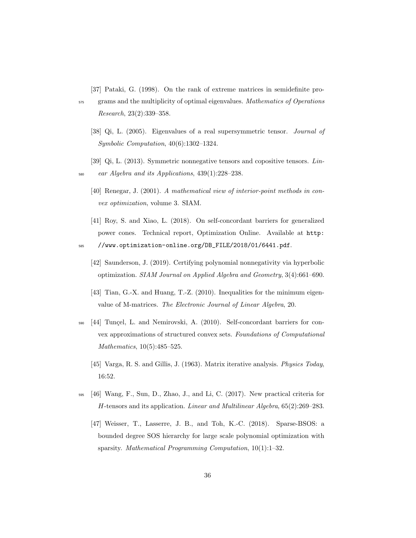[37] Pataki, G. (1998). On the rank of extreme matrices in semidefinite pro-

- <sub>575</sub> grams and the multiplicity of optimal eigenvalues. Mathematics of Operations Research, 23(2):339–358.
	- [38] Qi, L. (2005). Eigenvalues of a real supersymmetric tensor. Journal of Symbolic Computation, 40(6):1302–1324.
- [39] Qi, L. (2013). Symmetric nonnegative tensors and copositive tensors. Lin- $\mu_{580}$  ear Algebra and its Applications, 439(1):228–238.
	- [40] Renegar, J. (2001). A mathematical view of interior-point methods in convex optimization, volume 3. SIAM.
	- [41] Roy, S. and Xiao, L. (2018). On self-concordant barriers for generalized power cones. Technical report, Optimization Online. Available at http:
- <sup>585</sup> //www.optimization-online.org/DB\_FILE/2018/01/6441.pdf.
	- [42] Saunderson, J. (2019). Certifying polynomial nonnegativity via hyperbolic optimization. SIAM Journal on Applied Algebra and Geometry, 3(4):661–690.
	- [43] Tian, G.-X. and Huang, T.-Z. (2010). Inequalities for the minimum eigenvalue of M-matrices. The Electronic Journal of Linear Algebra, 20.
- $_{590}$  [44] Tunçel, L. and Nemirovski, A. (2010). Self-concordant barriers for convex approximations of structured convex sets. Foundations of Computational Mathematics, 10(5):485–525.
	- [45] Varga, R. S. and Gillis, J. (1963). Matrix iterative analysis. Physics Today, 16:52.
- <sup>595</sup> [46] Wang, F., Sun, D., Zhao, J., and Li, C. (2017). New practical criteria for H-tensors and its application. Linear and Multilinear Algebra, 65(2):269–283.
	- [47] Weisser, T., Lasserre, J. B., and Toh, K.-C. (2018). Sparse-BSOS: a bounded degree SOS hierarchy for large scale polynomial optimization with sparsity. Mathematical Programming Computation, 10(1):1–32.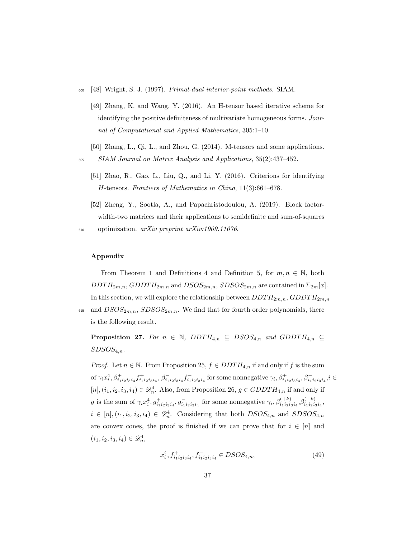- <sup>600</sup> [48] Wright, S. J. (1997). Primal-dual interior-point methods. SIAM.
	- [49] Zhang, K. and Wang, Y. (2016). An H-tensor based iterative scheme for identifying the positive definiteness of multivariate homogeneous forms. Journal of Computational and Applied Mathematics, 305:1–10.
	- [50] Zhang, L., Qi, L., and Zhou, G. (2014). M-tensors and some applications.
- <sup>605</sup> SIAM Journal on Matrix Analysis and Applications, 35(2):437–452.
	- [51] Zhao, R., Gao, L., Liu, Q., and Li, Y. (2016). Criterions for identifying H-tensors. Frontiers of Mathematics in China, 11(3):661–678.
	- [52] Zheng, Y., Sootla, A., and Papachristodoulou, A. (2019). Block factorwidth-two matrices and their applications to semidefinite and sum-of-squares

 $_{610}$  optimization.  $arXiv$  preprint  $arXiv:1909.11076$ .

#### Appendix

From Theorem 1 and Definitions 4 and Definition 5, for  $m, n \in \mathbb{N}$ , both  $DDTH_{2m,n}$ ,  $GDDTH_{2m,n}$  and  $DSOS_{2m,n}$ ,  $SD SOS_{2m,n}$  are contained in  $\Sigma_{2m}[x]$ . In this section, we will explore the relationship between  $DDTH_{2m,n}$ ,  $GDDTH_{2m,n}$ 

615 and  $DSOS_{2m,n}$ ,  $SDSOS_{2m,n}$ . We find that for fourth order polynomials, there is the following result.

**Proposition 27.** For  $n \in \mathbb{N}$ ,  $DDTH_{4,n} \subseteq DSOS_{4,n}$  and  $GDDTH_{4,n} \subseteq$  $SDSOS_{4,n}$ .

*Proof.* Let  $n \in \mathbb{N}$ . From Proposition 25,  $f \in DDTH_{4,n}$  if and only if f is the sum of  $\gamma_i x_i^4$ ,  $\beta_{i_1 i_2 i_3 i_4}^+$ ,  $\beta_{i_1 i_2 i_3 i_4}^-, \beta_{i_1 i_2 i_3 i_4}^-$  for some nonnegative  $\gamma_i$ ,  $\beta_{i_1 i_2 i_3 i_4}^+, \beta_{i_1 i_2 i_3 i_4}^-$ ,  $i \in$  $[n], (i_1, i_2, i_3, i_4) \in \mathcal{D}_n^4$ . Also, from Proposition 26,  $g \in GDDTH_{4,n}$  if and only if g is the sum of  $\gamma_i x_i^4, g_{i_1 i_2 i_3 i_4}^+, g_{i_1 i_2 i_3 i_4}^-$  for some nonnegative  $\gamma_i, \beta_{i_1 i_2 i_3 i_4}^{(+k)}, \beta_{i_1 i_2 i_3 i_4}^{(-k)},$  $i \in [n], (i_1, i_2, i_3, i_4) \in \mathcal{D}_n^4$ . Considering that both  $DSOS_{4,n}$  and  $SDSOS_{4,n}$ are convex cones, the proof is finished if we can prove that for  $i \in [n]$  and  $(i_1, i_2, i_3, i_4) \in \mathscr{D}_n^4$ ,

$$
x_i^4, f_{i_1 i_2 i_3 i_4}^+, f_{i_1 i_2 i_3 i_4}^- \in DSOS_{4,n},\tag{49}
$$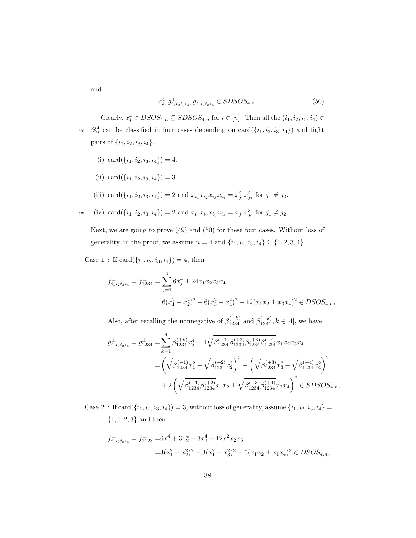and

$$
x_i^4, g_{i_1 i_2 i_3 i_4}^+, g_{i_1 i_2 i_3 i_4}^- \in SDSOS_{4,n}.\tag{50}
$$

Clearly,  $x_i^4 \in DSOS_{4,n} \subseteq SDSOS_{4,n}$  for  $i \in [n]$ . Then all the  $(i_1, i_2, i_3, i_4) \in$ <sup>620</sup>  $\mathscr{D}_n^4$  can be classified in four cases depending on card $(\{i_1, i_2, i_3, i_4\})$  and tight pairs of  $\{i_1, i_2, i_3, i_4\}.$ 

- (i) card $(\{i_1, i_2, i_3, i_4\}) = 4.$
- (ii) card $(\{i_1, i_2, i_3, i_4\}) = 3.$
- (iii)  $\text{card}(\{i_1, i_2, i_3, i_4\}) = 2 \text{ and } x_{i_1} x_{i_2} x_{i_3} x_{i_4} = x_{j_1}^2 x_{j_2}^2 \text{ for } j_1 \neq j_2.$
- $\text{C}_{625}$  (iv)  $\text{card}(\{i_1, i_2, i_3, i_4\}) = 2 \text{ and } x_{i_1} x_{i_2} x_{i_3} x_{i_4} = x_{j_1} x_{j_2}^3 \text{ for } j_1 \neq j_2.$

Next, we are going to prove (49) and (50) for these four cases. Without loss of generality, in the proof, we assume  $n = 4$  and  $\{i_1, i_2, i_3, i_4\} \subseteq \{1, 2, 3, 4\}$ .

Case 1 : If  $card({i_1, i_2, i_3, i_4}) = 4$ , then

$$
f_{i_1 i_2 i_3 i_4}^{\pm} = f_{1234}^{\pm} = \sum_{j=1}^{4} 6x_j^4 \pm 24x_1 x_2 x_3 x_4
$$
  
=  $6(x_1^2 - x_2^2)^2 + 6(x_3^2 - x_4^2)^2 + 12(x_1 x_2 \pm x_3 x_4)^2 \in DSOS_{4,n}$ ,

Also, after recalling the nonnegative of  $\beta_{1234}^{(+k)}$  and  $\beta_{1234}^{(-k)}$ ,  $k \in [4]$ , we have

$$
\begin{aligned} g_{i_1i_2i_3i_4}^{\pm} = g_{1234}^{\pm} = & \sum_{k=1}^4 \beta_{1234}^{(+k)} x_j^4 \pm 4 \sqrt[4]{\beta_{1234}^{(+1)} \beta_{1234}^{(+2)} \beta_{1234}^{(+3)}} x_1 x_2 x_3 x_4 \\ = & \left( \sqrt{\beta_{1234}^{(+1)}} x_1^2 - \sqrt{\beta_{1234}^{(+2)}} x_2^2 \right)^2 + \left( \sqrt{\beta_{1234}^{(+3)}} x_3^2 - \sqrt{\beta_{1234}^{(+4)}} x_4^2 \right)^2 \\ & + 2 \left( \sqrt{\beta_{1234}^{(+1)} \beta_{1234}^{(+2)}} x_1 x_2 \pm \sqrt{\beta_{1234}^{(+3)}} \beta_{1234}^{(+4)} x_3 x_4 \right)^2 \in SDSOS_{4,n}, \end{aligned}
$$

Case 2 : If  $card(\{i_1, i_2, i_3, i_4\}) = 3$ , without loss of generality, assume  $\{i_1, i_2, i_3, i_4\} =$  ${1, 1, 2, 3}$  and then

$$
f_{i_1 i_2 i_3 i_4}^{\pm} = f_{1123}^{\pm} = 6x_1^4 + 3x_2^4 + 3x_3^4 \pm 12x_1^2 x_2 x_3
$$
  

$$
= 3(x_1^2 - x_2^2)^2 + 3(x_1^2 - x_3^2)^2 + 6(x_1 x_2 \pm x_1 x_4)^2 \in DSOS_{4,n},
$$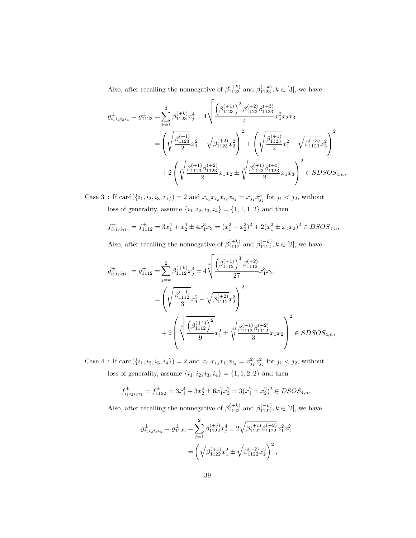Also, after recalling the nonnegative of  $\beta_{1123}^{(+k)}$  and  $\beta_{1123}^{(-k)}$ ,  $k \in [3]$ , we have

$$
\begin{split} g_{i_1i_2i_3i_4}^{\pm} = g_{1123}^{\pm} = & \sum_{k=1}^3 \beta_{1123}^{(+k)} x_j^4 \pm 4 \sqrt{\frac{\left(\beta_{1123}^{(+1)}\right)^2 \beta_{1123}^{(+2)} \beta_{1123}^{(+3)}}{4}} x_1^2 x_2 x_3 \\ = & \left(\sqrt{\frac{\beta_{1123}^{(+1)}}{2}} x_1^2 - \sqrt{\beta_{1123}^{(+2)}} x_2^2\right)^2 + \left(\sqrt{\frac{\beta_{1123}^{(+1)}}{2}} x_1^2 - \sqrt{\beta_{1123}^{(+3)}} x_3^2\right)^2 \\ & + 2 \left(\sqrt[4]{\frac{\beta_{1123}^{(+1)} \beta_{1123}^{(+2)}}{2}} x_1 x_2 \pm \sqrt[4]{\frac{\beta_{1123}^{(+1)} \beta_{1123}^{(+3)}}{2}} x_1 x_3\right)^2 \in SDSOS_{4,n}, \end{split}
$$

Case 3: If  $card({i_1, i_2, i_3, i_4}) = 2$  and  $x_{i_1}x_{i_2}x_{i_3}x_{i_4} = x_{j_1}x_{j_2}^3$  for  $j_1 < j_2$ , without loss of generality, assume  $\{i_1,i_2,i_3,i_4\}=\{1,1,1,2\}$  and then

$$
f_{i_1i_2i_3i_4}^{\pm} = f_{1112}^{\pm} = 3x_1^4 + x_2^4 \pm 4x_1^3 x_2 = (x_1^2 - x_2^2)^2 + 2(x_1^2 \pm x_1 x_2)^2 \in DSOS_{4,n},
$$

Also, after recalling the nonnegative of  $\beta_{1112}^{(+k)}$  and  $\beta_{1112}^{(-k)}$ ,  $k \in [2]$ , we have

$$
\begin{split} g_{i_1i_2i_3i_4}^{\pm} = g_{1112}^{\pm} &= \sum_{j=k}^2 \beta_{1112}^{(+k)} x_j^4 \pm 4 \sqrt[4]{\frac{\left(\beta_{1112}^{(+1)}\right)^3 \beta_{1112}^{(+2)}}{27}} x_1^3 x_2, \\ &= \left(\sqrt{\frac{\beta_{1112}^{(+1)}}{3}} x_1^2 - \sqrt{\beta_{1112}^{(+2)}} x_2^2\right)^2 \\ &\qquad \qquad + 2 \left(\sqrt[4]{\frac{\left(\beta_{1112}^{(+1)}\right)^2}{9}} x_1^2 \pm \sqrt[4]{\frac{\beta_{1112}^{(+1)} \beta_{1112}^{(+2)}}{3}} x_1 x_2\right)^2 \in SDSOS_{4,n}, \end{split}
$$

Case 4: If  $card({i_1, i_2, i_3, i_4}) = 2$  and  $x_{i_1}x_{i_2}x_{i_3}x_{i_4} = x_{j_1}^2 x_{j_2}^2$  for  $j_1 < j_2$ , without loss of generality, assume  $\{i_1, i_2, i_3, i_4\} = \{1, 1, 2, 2\}$  and then

$$
f_{i_1i_2i_3i_4}^{\pm} = f_{1122}^{\pm} = 3x_1^4 + 3x_2^4 \pm 6x_1^2x_2^2 = 3(x_1^2 \pm x_2^2)^2 \in DSOS_{4,n},
$$

Also, after recalling the nonnegative of  $\beta_{1122}^{(+k)}$  and  $\beta_{1122}^{(-k)}$ ,  $k \in [2]$ , we have

$$
g_{i_1i_2i_3i_4}^{\pm} = g_{1122}^{\pm} = \sum_{j=1}^{2} \beta_{1122}^{(+j)} x_j^4 \pm 2\sqrt{\beta_{1122}^{(+1)}\beta_{1122}^{(+2)}} x_1^2 x_2^2
$$

$$
= \left(\sqrt{\beta_{1122}^{(+1)}} x_1^2 \pm \sqrt{\beta_{1122}^{(+2)}} x_2^2\right)^2,
$$